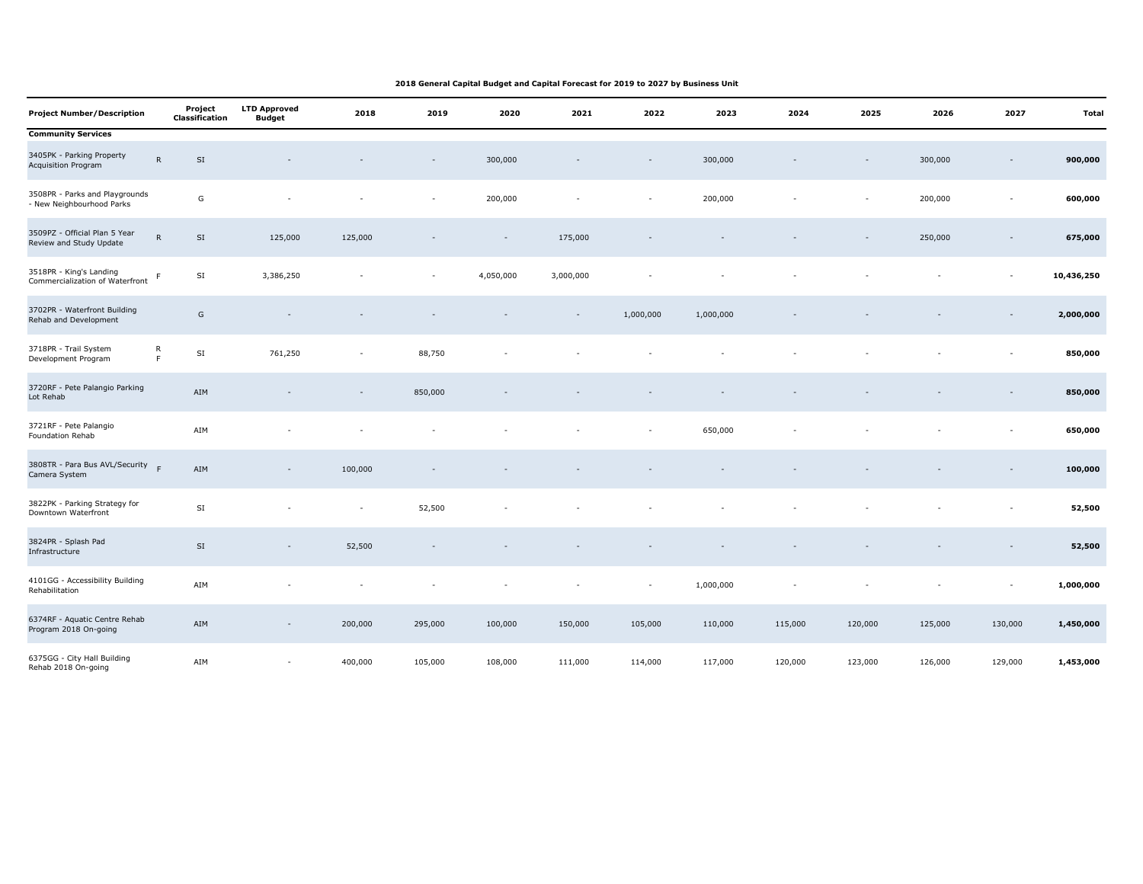| <b>Project Number/Description</b>                           |                          | Project<br>Classification | <b>LTD Approved</b><br><b>Budget</b> | 2018    | 2019                     | 2020                     | 2021                     | 2022      | 2023      | 2024    | 2025    | 2026    | 2027                     | Total      |
|-------------------------------------------------------------|--------------------------|---------------------------|--------------------------------------|---------|--------------------------|--------------------------|--------------------------|-----------|-----------|---------|---------|---------|--------------------------|------------|
| <b>Community Services</b>                                   |                          |                           |                                      |         |                          |                          |                          |           |           |         |         |         |                          |            |
| 3405PK - Parking Property<br>Acquisition Program            | ${\sf R}$                | SI                        |                                      |         |                          | 300,000                  |                          |           | 300,000   |         |         | 300,000 | $\overline{\phantom{a}}$ | 900,000    |
| 3508PR - Parks and Playgrounds<br>- New Neighbourhood Parks |                          | G                         | $\sim$                               |         | $\overline{\phantom{a}}$ | 200,000                  |                          |           | 200,000   |         | $\sim$  | 200,000 | $\overline{\phantom{a}}$ | 600,000    |
| 3509PZ - Official Plan 5 Year<br>Review and Study Update    | ${\sf R}$                | SI                        | 125,000                              | 125,000 |                          | $\overline{\phantom{a}}$ | 175,000                  |           |           |         |         | 250,000 |                          | 675,000    |
| 3518PR - King's Landing<br>Commercialization of Waterfront  | $\mathsf F$              | SI                        | 3,386,250                            |         | $\sim$                   | 4,050,000                | 3,000,000                |           |           |         |         |         | $\sim$                   | 10,436,250 |
| 3702PR - Waterfront Building<br>Rehab and Development       |                          | ${\mathsf G}$             |                                      |         |                          |                          | $\overline{\phantom{a}}$ | 1,000,000 | 1,000,000 |         |         |         |                          | 2,000,000  |
| 3718PR - Trail System<br>Development Program                | ${\sf R}$<br>$\mathsf F$ | $\mathsf{SI}$             | 761,250                              |         | 88,750                   |                          |                          |           |           |         |         |         |                          | 850,000    |
| 3720RF - Pete Palangio Parking<br>Lot Rehab                 |                          | AIM                       |                                      |         | 850,000                  |                          |                          |           |           |         |         |         |                          | 850,000    |
| 3721RF - Pete Palangio<br>Foundation Rehab                  |                          | AIM                       |                                      |         |                          |                          |                          |           | 650,000   |         |         |         |                          | 650,000    |
| 3808TR - Para Bus AVL/Security<br>Camera System             |                          | AIM                       | $\sim$                               | 100,000 |                          |                          |                          |           |           |         |         |         |                          | 100,000    |
| 3822PK - Parking Strategy for<br>Downtown Waterfront        |                          | SI                        |                                      |         | 52,500                   |                          |                          |           |           |         |         |         |                          | 52,500     |
| 3824PR - Splash Pad<br>Infrastructure                       |                          | $\mathsf{SI}$             |                                      | 52,500  |                          |                          |                          |           |           |         |         |         |                          | 52,500     |
| 4101GG - Accessibility Building<br>Rehabilitation           |                          | AIM                       |                                      |         |                          |                          |                          |           | 1,000,000 |         |         |         | $\sim$                   | 1,000,000  |
| 6374RF - Aquatic Centre Rehab<br>Program 2018 On-going      |                          | AIM                       | $\overline{\phantom{a}}$             | 200,000 | 295,000                  | 100,000                  | 150,000                  | 105,000   | 110,000   | 115,000 | 120,000 | 125,000 | 130,000                  | 1,450,000  |
| 6375GG - City Hall Building<br>Rehab 2018 On-going          |                          | AIM                       | $\sim$                               | 400,000 | 105,000                  | 108,000                  | 111,000                  | 114,000   | 117,000   | 120,000 | 123,000 | 126,000 | 129,000                  | 1,453,000  |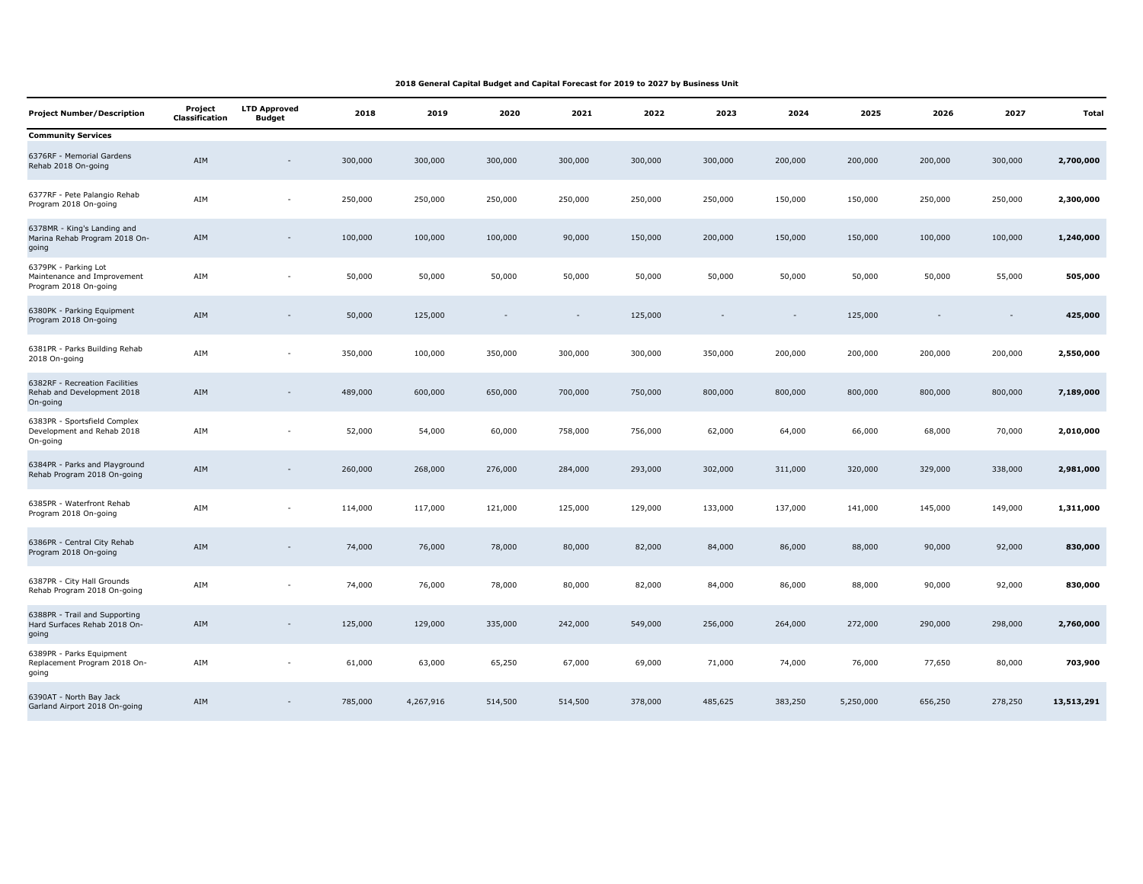| <b>Project Number/Description</b>                                            | Project<br><b>Classification</b> | <b>LTD Approved</b><br><b>Budget</b> | 2018    | 2019      | 2020    | 2021    | 2022    | 2023    | 2024    | 2025      | 2026    | 2027    | <b>Total</b> |
|------------------------------------------------------------------------------|----------------------------------|--------------------------------------|---------|-----------|---------|---------|---------|---------|---------|-----------|---------|---------|--------------|
| <b>Community Services</b>                                                    |                                  |                                      |         |           |         |         |         |         |         |           |         |         |              |
| 6376RF - Memorial Gardens<br>Rehab 2018 On-going                             | AIM                              | $\overline{\phantom{a}}$             | 300,000 | 300,000   | 300,000 | 300,000 | 300,000 | 300,000 | 200,000 | 200,000   | 200,000 | 300,000 | 2,700,000    |
| 6377RF - Pete Palangio Rehab<br>Program 2018 On-going                        | AIM                              | $\sim$                               | 250,000 | 250,000   | 250,000 | 250,000 | 250,000 | 250,000 | 150,000 | 150,000   | 250,000 | 250,000 | 2,300,000    |
| 6378MR - King's Landing and<br>Marina Rehab Program 2018 On-<br>going        | AIM                              | $\overline{\phantom{a}}$             | 100,000 | 100,000   | 100,000 | 90,000  | 150,000 | 200,000 | 150,000 | 150,000   | 100,000 | 100,000 | 1,240,000    |
| 6379PK - Parking Lot<br>Maintenance and Improvement<br>Program 2018 On-going | AIM                              | $\sim$                               | 50,000  | 50,000    | 50,000  | 50,000  | 50,000  | 50,000  | 50,000  | 50,000    | 50,000  | 55,000  | 505,000      |
| 6380PK - Parking Equipment<br>Program 2018 On-going                          | AIM                              |                                      | 50,000  | 125,000   |         |         | 125,000 |         |         | 125,000   |         |         | 425,000      |
| 6381PR - Parks Building Rehab<br>2018 On-going                               | AIM                              | ÷.                                   | 350,000 | 100,000   | 350,000 | 300,000 | 300,000 | 350,000 | 200,000 | 200,000   | 200,000 | 200,000 | 2,550,000    |
| 6382RF - Recreation Facilities<br>Rehab and Development 2018<br>On-going     | AIM                              | $\overline{\phantom{a}}$             | 489,000 | 600,000   | 650,000 | 700,000 | 750,000 | 800,000 | 800,000 | 800,000   | 800,000 | 800,000 | 7,189,000    |
| 6383PR - Sportsfield Complex<br>Development and Rehab 2018<br>On-going       | AIM                              | ٠                                    | 52,000  | 54,000    | 60,000  | 758,000 | 756,000 | 62,000  | 64,000  | 66,000    | 68,000  | 70,000  | 2,010,000    |
| 6384PR - Parks and Playground<br>Rehab Program 2018 On-going                 | AIM                              | $\overline{\phantom{a}}$             | 260,000 | 268,000   | 276,000 | 284,000 | 293,000 | 302,000 | 311,000 | 320,000   | 329,000 | 338,000 | 2,981,000    |
| 6385PR - Waterfront Rehab<br>Program 2018 On-going                           | AIM                              | ٠                                    | 114,000 | 117,000   | 121,000 | 125,000 | 129,000 | 133,000 | 137,000 | 141,000   | 145,000 | 149,000 | 1,311,000    |
| 6386PR - Central City Rehab<br>Program 2018 On-going                         | AIM                              | $\overline{\phantom{a}}$             | 74,000  | 76,000    | 78,000  | 80,000  | 82,000  | 84,000  | 86,000  | 88,000    | 90,000  | 92,000  | 830,000      |
| 6387PR - City Hall Grounds<br>Rehab Program 2018 On-going                    | AIM                              | ÷,                                   | 74,000  | 76,000    | 78,000  | 80,000  | 82,000  | 84,000  | 86,000  | 88,000    | 90,000  | 92,000  | 830,000      |
| 6388PR - Trail and Supporting<br>Hard Surfaces Rehab 2018 On-<br>going       | AIM                              | $\overline{\phantom{m}}$             | 125,000 | 129,000   | 335,000 | 242,000 | 549,000 | 256,000 | 264,000 | 272,000   | 290,000 | 298,000 | 2,760,000    |
| 6389PR - Parks Equipment<br>Replacement Program 2018 On-<br>going            | AIM                              | $\overline{\phantom{a}}$             | 61,000  | 63,000    | 65,250  | 67,000  | 69,000  | 71,000  | 74,000  | 76,000    | 77,650  | 80,000  | 703,900      |
| 6390AT - North Bay Jack<br>Garland Airport 2018 On-going                     | AIM                              | $\sim$                               | 785,000 | 4,267,916 | 514,500 | 514,500 | 378,000 | 485,625 | 383,250 | 5,250,000 | 656,250 | 278,250 | 13,513,291   |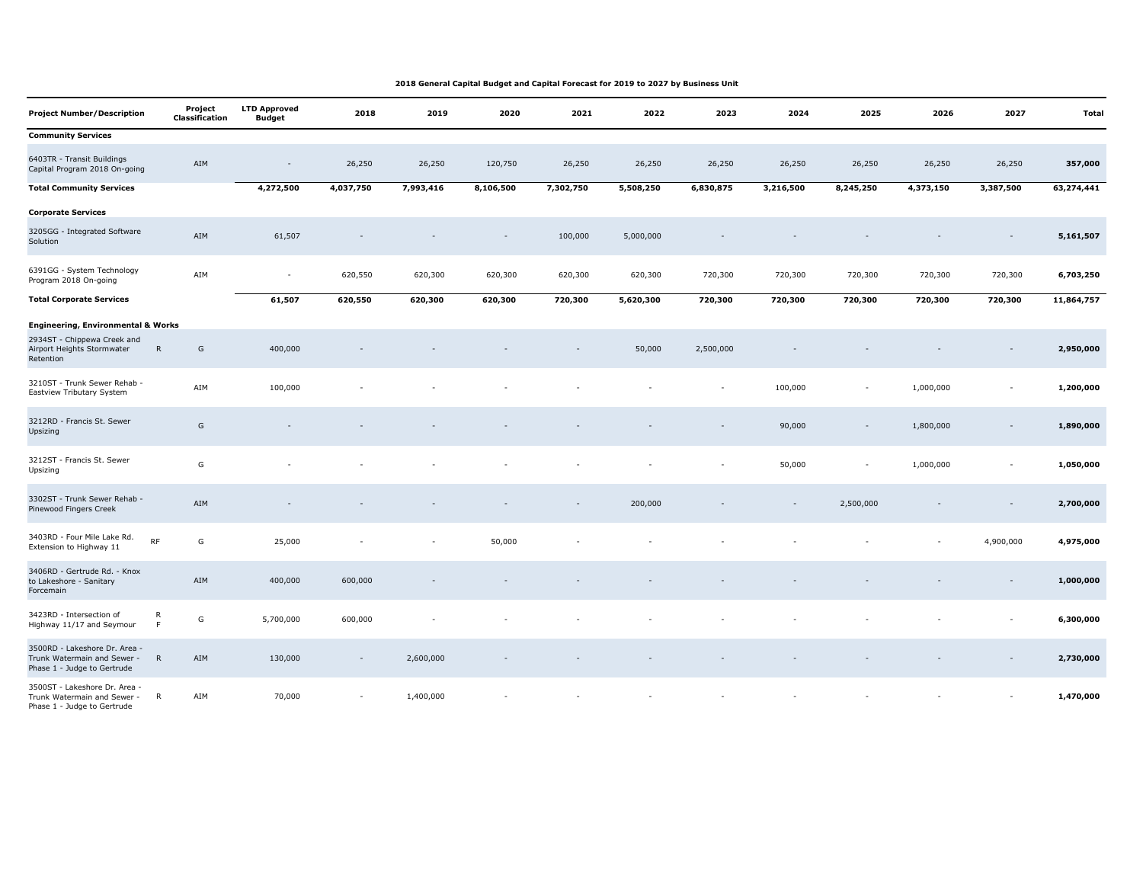| <b>Project Number/Description</b>                                                           | Project<br>Classification     | <b>LTD Approved</b><br><b>Budget</b> | 2018      | 2019      | 2020      | 2021      | 2022      | 2023      | 2024      | 2025                     | 2026      | 2027                     | Total      |
|---------------------------------------------------------------------------------------------|-------------------------------|--------------------------------------|-----------|-----------|-----------|-----------|-----------|-----------|-----------|--------------------------|-----------|--------------------------|------------|
| <b>Community Services</b>                                                                   |                               |                                      |           |           |           |           |           |           |           |                          |           |                          |            |
| 6403TR - Transit Buildings<br>Capital Program 2018 On-going                                 | ${\sf AIM}$                   |                                      | 26,250    | 26,250    | 120,750   | 26,250    | 26,250    | 26,250    | 26,250    | 26,250                   | 26,250    | 26,250                   | 357,000    |
| <b>Total Community Services</b>                                                             |                               | 4,272,500                            | 4,037,750 | 7,993,416 | 8,106,500 | 7,302,750 | 5,508,250 | 6,830,875 | 3,216,500 | 8,245,250                | 4,373,150 | 3,387,500                | 63,274,441 |
| <b>Corporate Services</b>                                                                   |                               |                                      |           |           |           |           |           |           |           |                          |           |                          |            |
| 3205GG - Integrated Software<br>Solution                                                    | AIM                           | 61,507                               |           |           |           | 100,000   | 5,000,000 |           |           |                          |           |                          | 5,161,507  |
| 6391GG - System Technology<br>Program 2018 On-going                                         | AIM                           | $\overline{\phantom{a}}$             | 620,550   | 620,300   | 620,300   | 620,300   | 620,300   | 720,300   | 720,300   | 720,300                  | 720,300   | 720,300                  | 6,703,250  |
| <b>Total Corporate Services</b>                                                             |                               | 61,507                               | 620,550   | 620,300   | 620,300   | 720,300   | 5,620,300 | 720,300   | 720,300   | 720,300                  | 720,300   | 720,300                  | 11,864,757 |
| <b>Engineering, Environmental &amp; Works</b>                                               |                               |                                      |           |           |           |           |           |           |           |                          |           |                          |            |
| 2934ST - Chippewa Creek and<br>Airport Heights Stormwater<br>Retention                      | G<br>${\sf R}$                | 400,000                              |           |           |           |           | 50,000    | 2,500,000 |           |                          |           |                          | 2,950,000  |
| 3210ST - Trunk Sewer Rehab -<br>Eastview Tributary System                                   | AIM                           | 100,000                              |           |           |           |           |           |           | 100,000   | $\sim$                   | 1,000,000 | $\sim$                   | 1,200,000  |
| 3212RD - Francis St. Sewer<br>Upsizing                                                      | G                             |                                      |           |           |           |           |           |           | 90,000    | $\overline{\phantom{a}}$ | 1,800,000 |                          | 1,890,000  |
| 3212ST - Francis St. Sewer<br>Upsizing                                                      | G                             |                                      |           |           |           |           |           |           | 50,000    | $\sim$                   | 1,000,000 | $\sim$                   | 1,050,000  |
| 3302ST - Trunk Sewer Rehab -<br>Pinewood Fingers Creek                                      | AIM                           |                                      |           |           |           |           | 200,000   |           |           | 2,500,000                |           |                          | 2,700,000  |
| 3403RD - Four Mile Lake Rd.<br>Extension to Highway 11                                      | RF<br>G                       | 25,000                               |           |           | 50,000    |           |           |           |           |                          |           | 4,900,000                | 4,975,000  |
| 3406RD - Gertrude Rd. - Knox<br>to Lakeshore - Sanitary<br>Forcemain                        | AIM                           | 400,000                              | 600,000   |           |           |           |           |           |           |                          |           | $\sim$                   | 1,000,000  |
| 3423RD - Intersection of<br>Highway 11/17 and Seymour                                       | ${\sf R}$<br>G<br>$\mathsf F$ | 5,700,000                            | 600,000   |           |           |           |           |           |           |                          |           | $\overline{\phantom{a}}$ | 6,300,000  |
| 3500RD - Lakeshore Dr. Area -<br>Trunk Watermain and Sewer -<br>Phase 1 - Judge to Gertrude | $\mathsf{R}$<br>AIM           | 130,000                              |           | 2,600,000 |           |           |           |           |           |                          |           |                          | 2,730,000  |
| 3500ST - Lakeshore Dr. Area<br>Trunk Watermain and Sewer -<br>Phase 1 - Judge to Gertrude   | AIM<br>$\mathsf{R}$           | 70,000                               |           | 1,400,000 |           |           |           |           |           |                          |           |                          | 1,470,000  |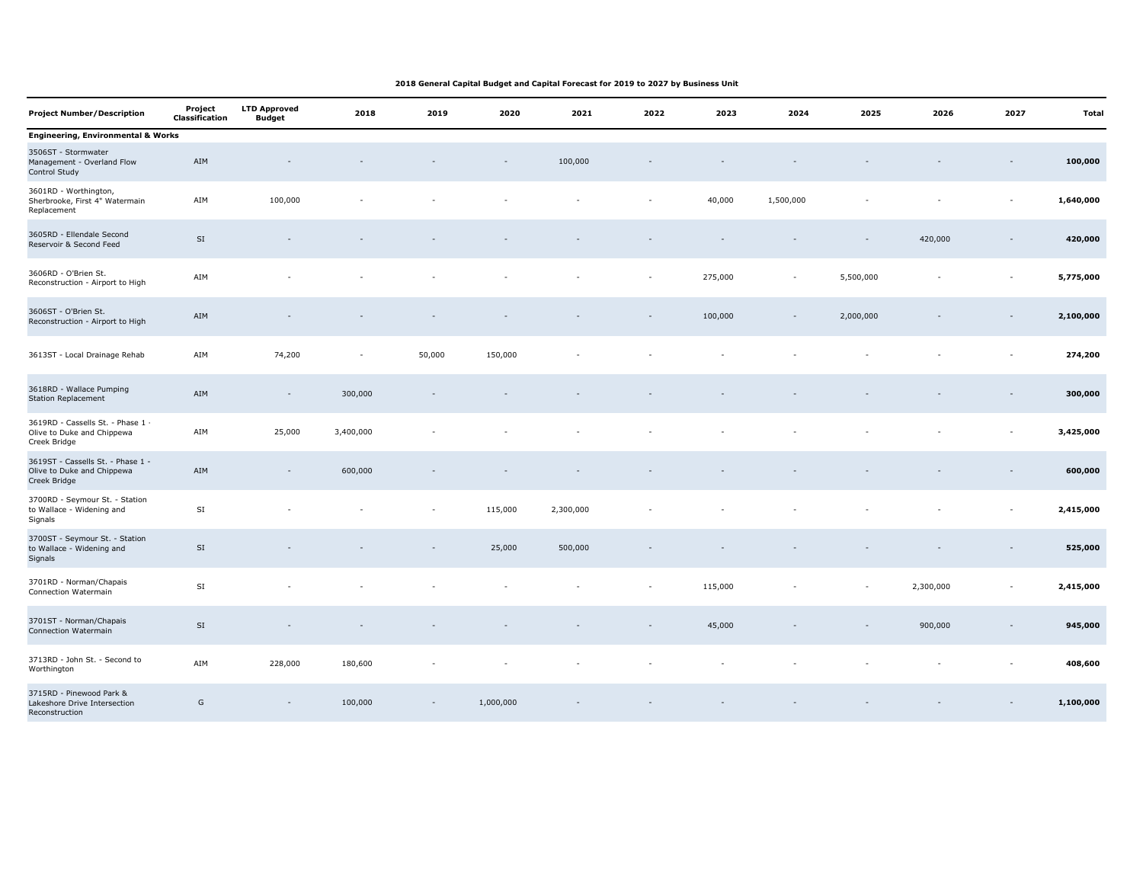| <b>Project Number/Description</b>                                               | Project<br><b>Classification</b> | <b>LTD Approved</b><br><b>Budget</b> | 2018      | 2019   | 2020      | 2021      | 2022   | 2023    | 2024      | 2025      | 2026      | 2027                     | <b>Total</b> |
|---------------------------------------------------------------------------------|----------------------------------|--------------------------------------|-----------|--------|-----------|-----------|--------|---------|-----------|-----------|-----------|--------------------------|--------------|
| <b>Engineering, Environmental &amp; Works</b>                                   |                                  |                                      |           |        |           |           |        |         |           |           |           |                          |              |
| 3506ST - Stormwater<br>Management - Overland Flow<br>Control Study              | AIM                              |                                      |           |        |           | 100,000   |        |         |           |           |           |                          | 100,000      |
| 3601RD - Worthington,<br>Sherbrooke, First 4" Watermain<br>Replacement          | AIM                              | 100,000                              |           |        |           |           |        | 40,000  | 1,500,000 |           |           | $\sim$                   | 1,640,000    |
| 3605RD - Ellendale Second<br>Reservoir & Second Feed                            | $\mathsf{SI}$                    |                                      |           |        |           |           |        |         |           |           | 420,000   | $\overline{\phantom{a}}$ | 420,000      |
| 3606RD - O'Brien St.<br>Reconstruction - Airport to High                        | AIM                              |                                      |           |        |           |           |        | 275,000 | $\sim$    | 5,500,000 |           | $\overline{\phantom{a}}$ | 5,775,000    |
| 3606ST - O'Brien St.<br>Reconstruction - Airport to High                        | AIM                              |                                      |           |        |           |           |        | 100,000 |           | 2,000,000 |           |                          | 2,100,000    |
| 3613ST - Local Drainage Rehab                                                   | AIM                              | 74,200                               | $\sim$    | 50,000 | 150,000   |           |        |         |           |           |           | $\sim$                   | 274,200      |
| 3618RD - Wallace Pumping<br><b>Station Replacement</b>                          | AIM                              | $\sim$                               | 300,000   |        |           |           |        |         |           |           |           |                          | 300,000      |
| 3619RD - Cassells St. - Phase 1 ·<br>Olive to Duke and Chippewa<br>Creek Bridge | AIM                              | 25,000                               | 3,400,000 |        |           |           |        |         |           |           |           | $\sim$                   | 3,425,000    |
| 3619ST - Cassells St. - Phase 1 -<br>Olive to Duke and Chippewa<br>Creek Bridge | AIM                              | $\sim$                               | 600,000   |        |           |           |        |         |           |           |           |                          | 600,000      |
| 3700RD - Seymour St. - Station<br>to Wallace - Widening and<br>Signals          | SI                               |                                      |           | ٠      | 115,000   | 2,300,000 |        |         |           |           |           |                          | 2,415,000    |
| 3700ST - Seymour St. - Station<br>to Wallace - Widening and<br>Signals          | $\mathsf{SI}\xspace$             |                                      |           |        | 25,000    | 500,000   |        |         |           |           |           |                          | 525,000      |
| 3701RD - Norman/Chapais<br>Connection Watermain                                 | $\mathsf{SI}$                    |                                      |           |        |           |           | $\sim$ | 115,000 |           | $\sim$    | 2,300,000 | $\sim$                   | 2,415,000    |
| 3701ST - Norman/Chapais<br>Connection Watermain                                 | $\mathsf{SI}$                    |                                      |           |        |           |           |        | 45,000  |           |           | 900,000   |                          | 945,000      |
| 3713RD - John St. - Second to<br>Worthington                                    | AIM                              | 228,000                              | 180,600   |        |           |           |        |         |           |           |           |                          | 408,600      |
| 3715RD - Pinewood Park &<br>Lakeshore Drive Intersection<br>Reconstruction      | G                                |                                      | 100,000   |        | 1,000,000 |           |        |         |           |           |           |                          | 1,100,000    |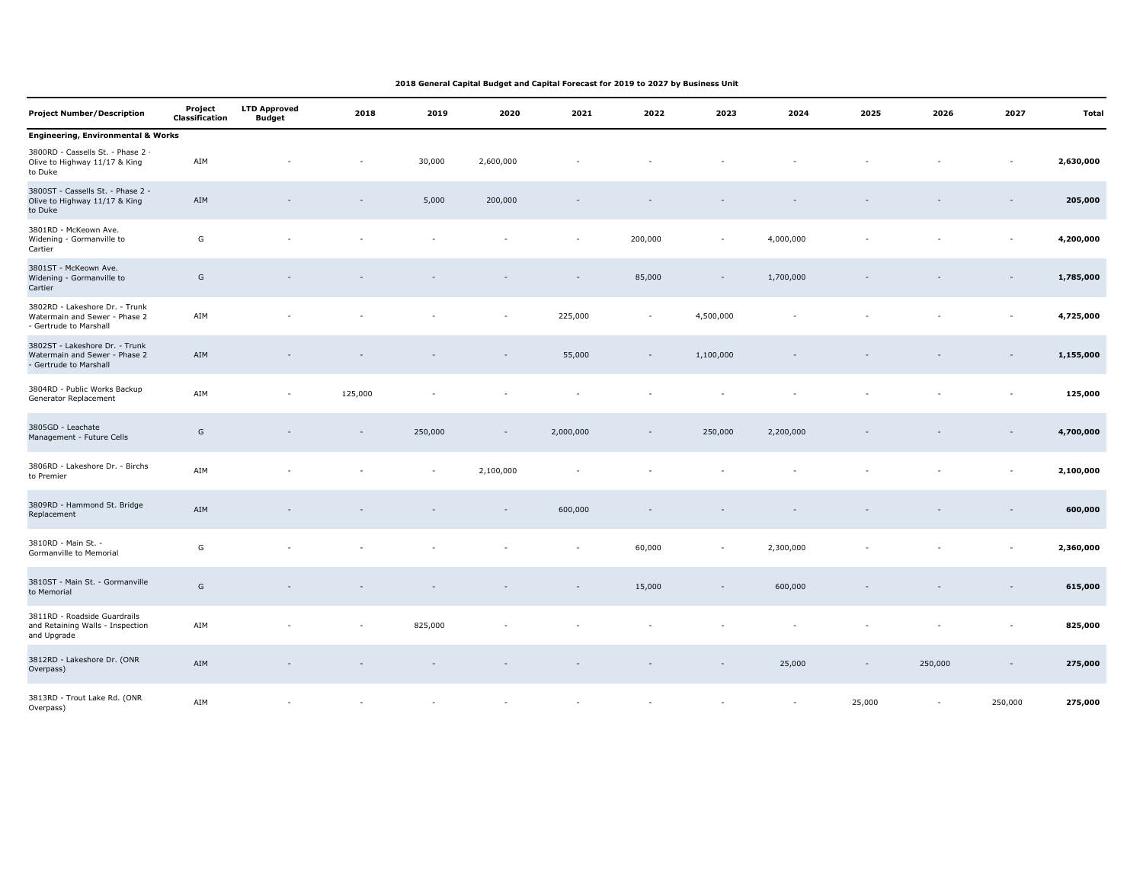| <b>Project Number/Description</b>                                                         | Project<br><b>Classification</b> | <b>LTD Approved</b><br><b>Budget</b> | 2018    | 2019    | 2020      | 2021      | 2022    | 2023                     | 2024      | 2025                     | 2026    | 2027                     | <b>Total</b> |
|-------------------------------------------------------------------------------------------|----------------------------------|--------------------------------------|---------|---------|-----------|-----------|---------|--------------------------|-----------|--------------------------|---------|--------------------------|--------------|
| <b>Engineering, Environmental &amp; Works</b>                                             |                                  |                                      |         |         |           |           |         |                          |           |                          |         |                          |              |
| 3800RD - Cassells St. - Phase 2 -<br>Olive to Highway 11/17 & King<br>to Duke             | AIM                              |                                      |         | 30,000  | 2,600,000 |           |         |                          |           |                          |         | $\overline{\phantom{a}}$ | 2,630,000    |
| 3800ST - Cassells St. - Phase 2 -<br>Olive to Highway 11/17 & King<br>to Duke             | AIM                              |                                      |         | 5,000   | 200,000   |           |         |                          |           |                          |         | $\overline{\phantom{a}}$ | 205,000      |
| 3801RD - McKeown Ave.<br>Widening - Gormanville to<br>Cartier                             | G                                |                                      |         |         |           |           | 200,000 | ÷,                       | 4,000,000 |                          |         |                          | 4,200,000    |
| 3801ST - McKeown Ave.<br>Widening - Gormanville to<br>Cartier                             | G                                |                                      |         |         |           |           | 85,000  | $\overline{\phantom{a}}$ | 1,700,000 |                          |         | $\overline{\phantom{a}}$ | 1,785,000    |
| 3802RD - Lakeshore Dr. - Trunk<br>Watermain and Sewer - Phase 2<br>- Gertrude to Marshall | AIM                              |                                      |         |         |           | 225,000   | $\sim$  | 4,500,000                |           |                          |         | $\overline{\phantom{a}}$ | 4,725,000    |
| 3802ST - Lakeshore Dr. - Trunk<br>Watermain and Sewer - Phase 2<br>- Gertrude to Marshall | AIM                              |                                      |         |         |           | 55,000    |         | 1,100,000                |           |                          |         |                          | 1,155,000    |
| 3804RD - Public Works Backup<br>Generator Replacement                                     | AIM                              | $\sim$                               | 125,000 |         |           |           |         |                          |           |                          |         |                          | 125,000      |
| 3805GD - Leachate<br>Management - Future Cells                                            | G                                |                                      |         | 250,000 |           | 2,000,000 |         | 250,000                  | 2,200,000 |                          |         |                          | 4,700,000    |
| 3806RD - Lakeshore Dr. - Birchs<br>to Premier                                             | AIM                              |                                      |         |         | 2,100,000 |           |         |                          |           |                          |         |                          | 2,100,000    |
| 3809RD - Hammond St. Bridge<br>Replacement                                                | AIM                              |                                      |         |         |           | 600,000   |         |                          |           |                          |         | $\overline{\phantom{a}}$ | 600,000      |
| 3810RD - Main St. -<br>Gormanville to Memorial                                            | G                                |                                      |         |         |           | $\sim$    | 60,000  | $\sim$                   | 2,300,000 |                          |         | $\sim$                   | 2,360,000    |
| 3810ST - Main St. - Gormanville<br>to Memorial                                            | ${\mathsf G}$                    |                                      |         |         |           |           | 15,000  | $\sim$                   | 600,000   |                          |         |                          | 615,000      |
| 3811RD - Roadside Guardrails<br>and Retaining Walls - Inspection<br>and Upgrade           | AIM                              |                                      |         | 825,000 |           |           |         |                          |           |                          |         | ÷,                       | 825,000      |
| 3812RD - Lakeshore Dr. (ONR<br>Overpass)                                                  | AIM                              |                                      |         |         |           |           |         |                          | 25,000    | $\overline{\phantom{a}}$ | 250,000 | $\overline{\phantom{a}}$ | 275,000      |
| 3813RD - Trout Lake Rd. (ONR<br>Overpass)                                                 | AIM                              |                                      |         |         |           |           |         |                          | $\sim$    | 25,000                   | $\sim$  | 250,000                  | 275,000      |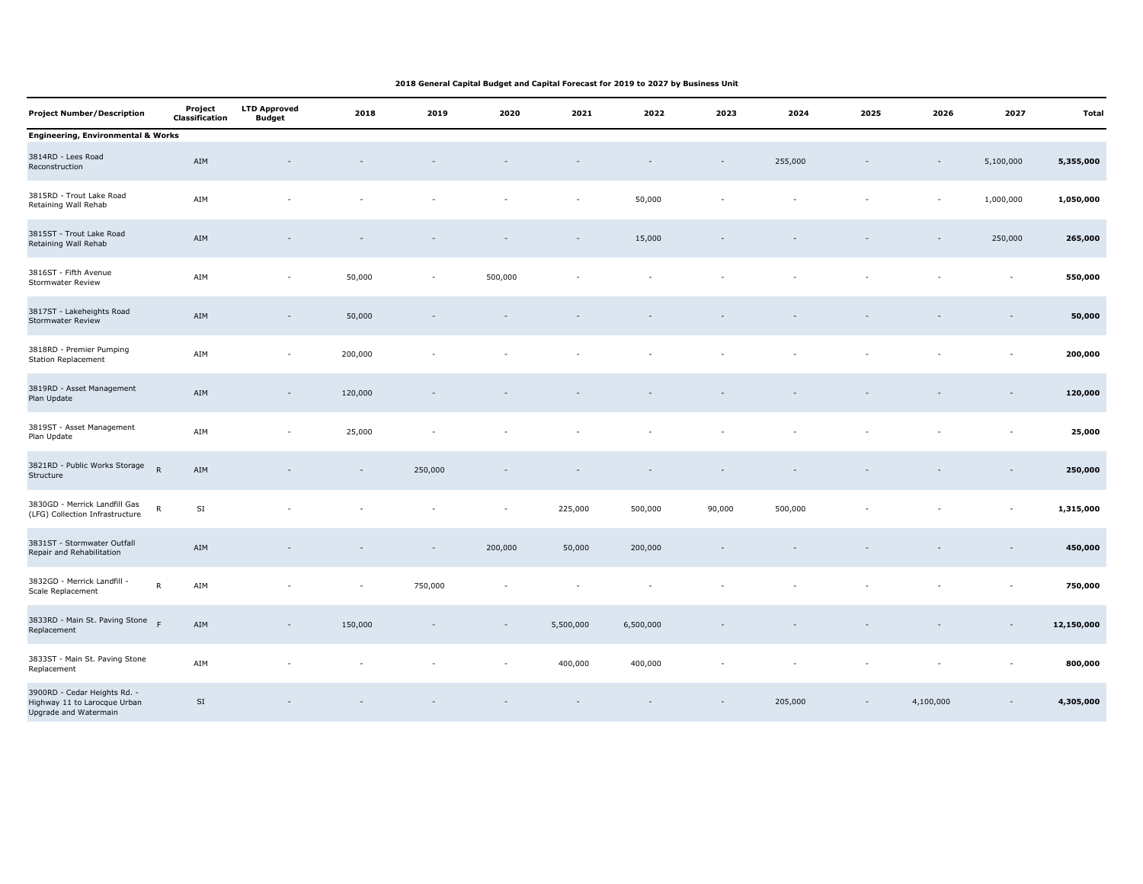| <b>Project Number/Description</b>                                                     | Project<br><b>Classification</b> | <b>LTD Approved</b><br><b>Budget</b> | 2018    | 2019    | 2020                     | 2021      | 2022      | 2023   | 2024    | 2025      | 2026      | 2027                     | Total      |
|---------------------------------------------------------------------------------------|----------------------------------|--------------------------------------|---------|---------|--------------------------|-----------|-----------|--------|---------|-----------|-----------|--------------------------|------------|
| <b>Engineering, Environmental &amp; Works</b>                                         |                                  |                                      |         |         |                          |           |           |        |         |           |           |                          |            |
| 3814RD - Lees Road<br>Reconstruction                                                  | AIM                              |                                      |         |         |                          |           |           |        | 255,000 |           |           | 5,100,000                | 5,355,000  |
| 3815RD - Trout Lake Road<br>Retaining Wall Rehab                                      | AIM                              |                                      |         |         |                          |           | 50,000    |        |         |           |           | 1,000,000                | 1,050,000  |
| 3815ST - Trout Lake Road<br>Retaining Wall Rehab                                      | ${\sf AIM}$                      |                                      |         |         |                          |           | 15,000    |        |         |           |           | 250,000                  | 265,000    |
| 3816ST - Fifth Avenue<br>Stormwater Review                                            | AIM                              | $\overline{\phantom{a}}$             | 50,000  | $\sim$  | 500,000                  |           |           |        |         |           |           | $\sim$                   | 550,000    |
| 3817ST - Lakeheights Road<br>Stormwater Review                                        | ${\sf AIM}$                      |                                      | 50,000  |         |                          |           |           |        |         |           |           |                          | 50,000     |
| 3818RD - Premier Pumping<br><b>Station Replacement</b>                                | AIM                              | $\sim$                               | 200,000 |         |                          |           |           |        |         |           |           | $\overline{\phantom{a}}$ | 200,000    |
| 3819RD - Asset Management<br>Plan Update                                              | ${\sf AIM}$                      | $\overline{\phantom{a}}$             | 120,000 |         |                          |           |           |        |         |           |           |                          | 120,000    |
| 3819ST - Asset Management<br>Plan Update                                              | AIM                              |                                      | 25,000  |         |                          |           |           |        |         |           |           |                          | 25,000     |
| 3821RD - Public Works Storage<br>$\mathsf{R}$<br>Structure                            | ${\sf AIM}$                      |                                      |         | 250,000 |                          |           |           |        |         |           |           | $\overline{\phantom{a}}$ | 250,000    |
| 3830GD - Merrick Landfill Gas<br>$\mathsf{R}$<br>(LFG) Collection Infrastructure      | SI                               |                                      |         |         | $\overline{\phantom{a}}$ | 225,000   | 500,000   | 90,000 | 500,000 |           |           | $\blacksquare$           | 1,315,000  |
| 3831ST - Stormwater Outfall<br>Repair and Rehabilitation                              | ${\sf AIM}$                      |                                      |         |         | 200,000                  | 50,000    | 200,000   |        |         |           |           |                          | 450,000    |
| 3832GD - Merrick Landfill -<br>${\sf R}$<br>Scale Replacement                         | AIM                              |                                      |         | 750,000 |                          |           |           |        |         |           |           | $\sim$                   | 750,000    |
| 3833RD - Main St. Paving Stone<br>F<br>Replacement                                    | ${\sf AIM}$                      | $\overline{\phantom{a}}$             | 150,000 |         |                          | 5,500,000 | 6,500,000 |        |         |           |           |                          | 12,150,000 |
| 3833ST - Main St. Paving Stone<br>Replacement                                         | AIM                              |                                      |         |         |                          | 400,000   | 400,000   |        |         |           |           |                          | 800,000    |
| 3900RD - Cedar Heights Rd. -<br>Highway 11 to Larocque Urban<br>Upgrade and Watermain | $\mathsf{SI}\,$                  |                                      |         |         |                          |           |           |        | 205,000 | $\bar{a}$ | 4,100,000 | $\blacksquare$           | 4,305,000  |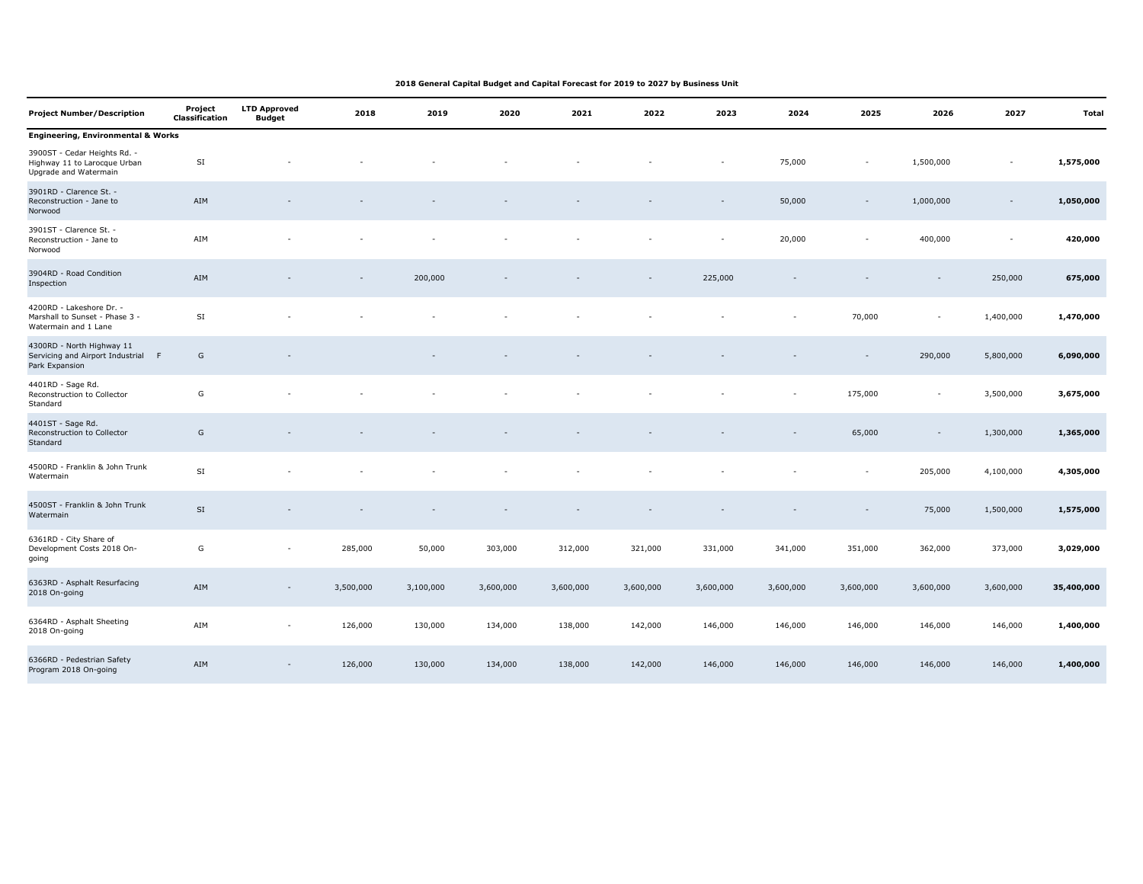| <b>Project Number/Description</b>                                                     | Project<br><b>Classification</b> | <b>LTD Approved</b><br><b>Budget</b> | 2018      | 2019      | 2020      | 2021      | 2022      | 2023      | 2024      | 2025                     | 2026                     | 2027      | <b>Total</b> |
|---------------------------------------------------------------------------------------|----------------------------------|--------------------------------------|-----------|-----------|-----------|-----------|-----------|-----------|-----------|--------------------------|--------------------------|-----------|--------------|
| <b>Engineering, Environmental &amp; Works</b>                                         |                                  |                                      |           |           |           |           |           |           |           |                          |                          |           |              |
| 3900ST - Cedar Heights Rd. -<br>Highway 11 to Larocque Urban<br>Upgrade and Watermain | SI                               |                                      |           |           |           |           |           |           | 75,000    | $\overline{\phantom{a}}$ | 1,500,000                | ÷,        | 1,575,000    |
| 3901RD - Clarence St. -<br>Reconstruction - Jane to<br>Norwood                        | AIM                              |                                      |           |           |           |           |           |           | 50,000    | $\blacksquare$           | 1,000,000                | $\sim$    | 1,050,000    |
| 3901ST - Clarence St. -<br>Reconstruction - Jane to<br>Norwood                        | AIM                              |                                      |           |           |           |           |           | ٠         | 20,000    | $\sim$                   | 400,000                  | $\sim$    | 420,000      |
| 3904RD - Road Condition<br>Inspection                                                 | AIM                              |                                      |           | 200,000   |           |           |           | 225,000   |           |                          |                          | 250,000   | 675,000      |
| 4200RD - Lakeshore Dr. -<br>Marshall to Sunset - Phase 3 -<br>Watermain and 1 Lane    | SI                               |                                      |           |           |           |           |           |           |           | 70,000                   | $\sim$                   | 1,400,000 | 1,470,000    |
| 4300RD - North Highway 11<br>Servicing and Airport Industrial F<br>Park Expansion     | G                                |                                      |           |           |           |           |           |           |           | $\overline{\phantom{a}}$ | 290,000                  | 5,800,000 | 6,090,000    |
| 4401RD - Sage Rd.<br>Reconstruction to Collector<br>Standard                          | G                                |                                      |           |           |           |           |           |           | $\sim$    | 175,000                  | $\overline{\phantom{a}}$ | 3,500,000 | 3,675,000    |
| 4401ST - Sage Rd.<br>Reconstruction to Collector<br>Standard                          | G                                |                                      |           |           |           |           |           |           |           | 65,000                   | $\sim$                   | 1,300,000 | 1,365,000    |
| 4500RD - Franklin & John Trunk<br>Watermain                                           | SI                               |                                      |           |           |           |           |           |           |           | $\sim$                   | 205,000                  | 4,100,000 | 4,305,000    |
| 4500ST - Franklin & John Trunk<br>Watermain                                           | SI                               |                                      |           |           |           |           |           |           |           | $\overline{\phantom{a}}$ | 75,000                   | 1,500,000 | 1,575,000    |
| 6361RD - City Share of<br>Development Costs 2018 On-<br>going                         | G                                | $\sim$                               | 285,000   | 50,000    | 303,000   | 312,000   | 321,000   | 331,000   | 341,000   | 351,000                  | 362,000                  | 373,000   | 3,029,000    |
| 6363RD - Asphalt Resurfacing<br>2018 On-going                                         | AIM                              | $\sim$                               | 3,500,000 | 3,100,000 | 3,600,000 | 3,600,000 | 3,600,000 | 3,600,000 | 3,600,000 | 3,600,000                | 3,600,000                | 3,600,000 | 35,400,000   |
| 6364RD - Asphalt Sheeting<br>2018 On-going                                            | AIM                              | $\overline{\phantom{a}}$             | 126,000   | 130,000   | 134,000   | 138,000   | 142,000   | 146,000   | 146,000   | 146,000                  | 146,000                  | 146,000   | 1,400,000    |
| 6366RD - Pedestrian Safety<br>Program 2018 On-going                                   | AIM                              | $\sim$                               | 126,000   | 130,000   | 134,000   | 138,000   | 142,000   | 146,000   | 146,000   | 146,000                  | 146,000                  | 146,000   | 1,400,000    |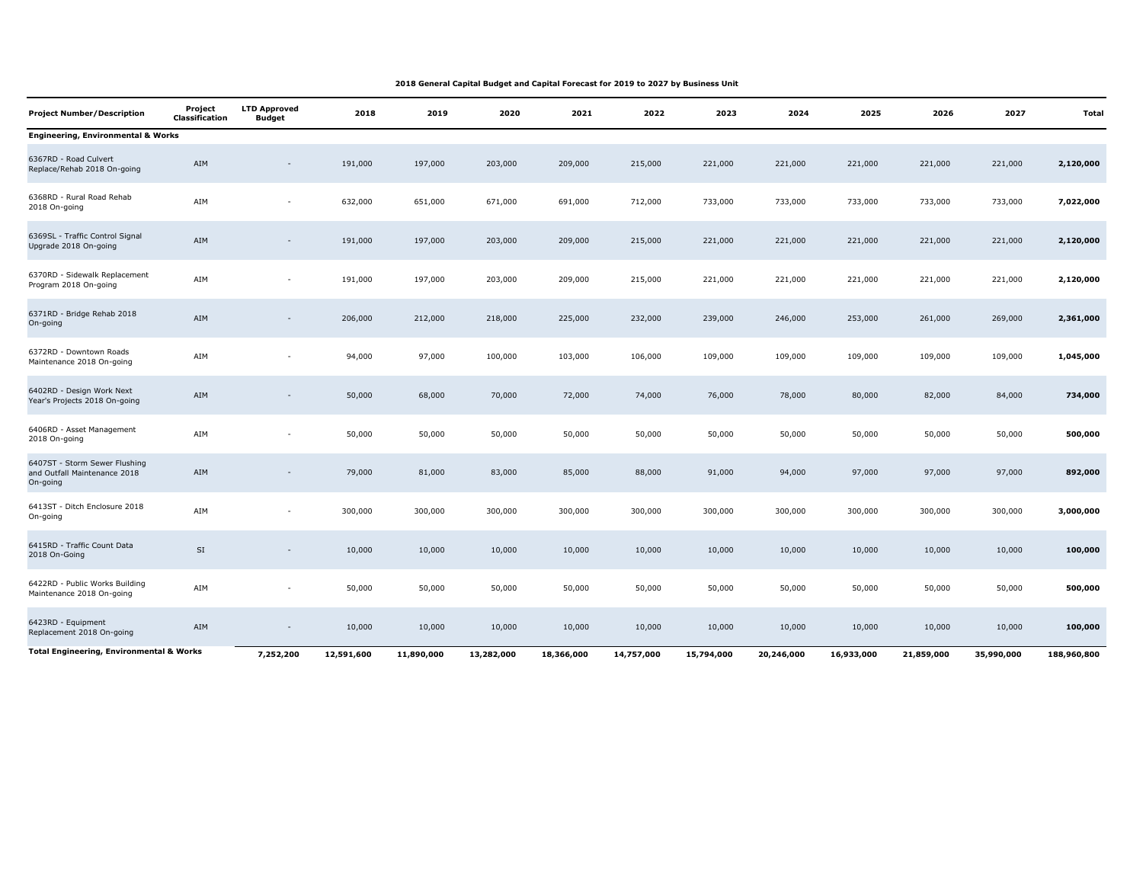| <b>Project Number/Description</b>                                         | Project<br><b>Classification</b> | <b>LTD Approved</b><br>Budget | 2018       | 2019       | 2020       | 2021       | 2022       | 2023       | 2024       | 2025       | 2026       | 2027       | Total       |
|---------------------------------------------------------------------------|----------------------------------|-------------------------------|------------|------------|------------|------------|------------|------------|------------|------------|------------|------------|-------------|
| <b>Engineering, Environmental &amp; Works</b>                             |                                  |                               |            |            |            |            |            |            |            |            |            |            |             |
| 6367RD - Road Culvert<br>Replace/Rehab 2018 On-going                      | AIM                              | $\overline{\phantom{a}}$      | 191,000    | 197,000    | 203,000    | 209,000    | 215,000    | 221,000    | 221,000    | 221,000    | 221,000    | 221,000    | 2,120,000   |
| 6368RD - Rural Road Rehab<br>2018 On-going                                | AIM                              | ٠                             | 632,000    | 651,000    | 671,000    | 691,000    | 712,000    | 733,000    | 733,000    | 733,000    | 733,000    | 733,000    | 7,022,000   |
| 6369SL - Traffic Control Signal<br>Upgrade 2018 On-going                  | AIM                              | $\overline{\phantom{a}}$      | 191,000    | 197,000    | 203,000    | 209,000    | 215,000    | 221,000    | 221,000    | 221,000    | 221,000    | 221,000    | 2,120,000   |
| 6370RD - Sidewalk Replacement<br>Program 2018 On-going                    | AIM                              | $\overline{\phantom{a}}$      | 191,000    | 197,000    | 203,000    | 209,000    | 215,000    | 221,000    | 221,000    | 221,000    | 221,000    | 221,000    | 2,120,000   |
| 6371RD - Bridge Rehab 2018<br>On-going                                    | AIM                              | $\sim$                        | 206,000    | 212,000    | 218,000    | 225,000    | 232,000    | 239,000    | 246,000    | 253,000    | 261,000    | 269,000    | 2,361,000   |
| 6372RD - Downtown Roads<br>Maintenance 2018 On-going                      | AIM                              | $\sim$                        | 94,000     | 97,000     | 100,000    | 103,000    | 106,000    | 109,000    | 109,000    | 109,000    | 109,000    | 109,000    | 1,045,000   |
| 6402RD - Design Work Next<br>Year's Projects 2018 On-going                | AIM                              | $\overline{\phantom{a}}$      | 50,000     | 68,000     | 70,000     | 72,000     | 74,000     | 76,000     | 78,000     | 80,000     | 82,000     | 84,000     | 734,000     |
| 6406RD - Asset Management<br>2018 On-going                                | AIM                              | ٠                             | 50,000     | 50,000     | 50,000     | 50,000     | 50,000     | 50,000     | 50,000     | 50,000     | 50,000     | 50,000     | 500,000     |
| 6407ST - Storm Sewer Flushing<br>and Outfall Maintenance 2018<br>On-going | AIM                              | $\overline{\phantom{a}}$      | 79,000     | 81,000     | 83,000     | 85,000     | 88,000     | 91,000     | 94,000     | 97,000     | 97,000     | 97,000     | 892,000     |
| 6413ST - Ditch Enclosure 2018<br>On-going                                 | AIM                              | $\overline{\phantom{a}}$      | 300,000    | 300,000    | 300,000    | 300,000    | 300,000    | 300,000    | 300,000    | 300,000    | 300,000    | 300,000    | 3,000,000   |
| 6415RD - Traffic Count Data<br>2018 On-Going                              | $\mathsf{SI}\xspace$             |                               | 10,000     | 10,000     | 10,000     | 10,000     | 10,000     | 10,000     | 10,000     | 10,000     | 10,000     | 10,000     | 100,000     |
| 6422RD - Public Works Building<br>Maintenance 2018 On-going               | AIM                              |                               | 50,000     | 50,000     | 50,000     | 50,000     | 50,000     | 50,000     | 50,000     | 50,000     | 50,000     | 50,000     | 500,000     |
| 6423RD - Equipment<br>Replacement 2018 On-going                           | AIM                              |                               | 10,000     | 10,000     | 10,000     | 10,000     | 10,000     | 10,000     | 10,000     | 10,000     | 10,000     | 10,000     | 100,000     |
| <b>Total Engineering, Environmental &amp; Works</b>                       |                                  | 7,252,200                     | 12,591,600 | 11,890,000 | 13,282,000 | 18,366,000 | 14,757,000 | 15,794,000 | 20,246,000 | 16,933,000 | 21,859,000 | 35,990,000 | 188,960,800 |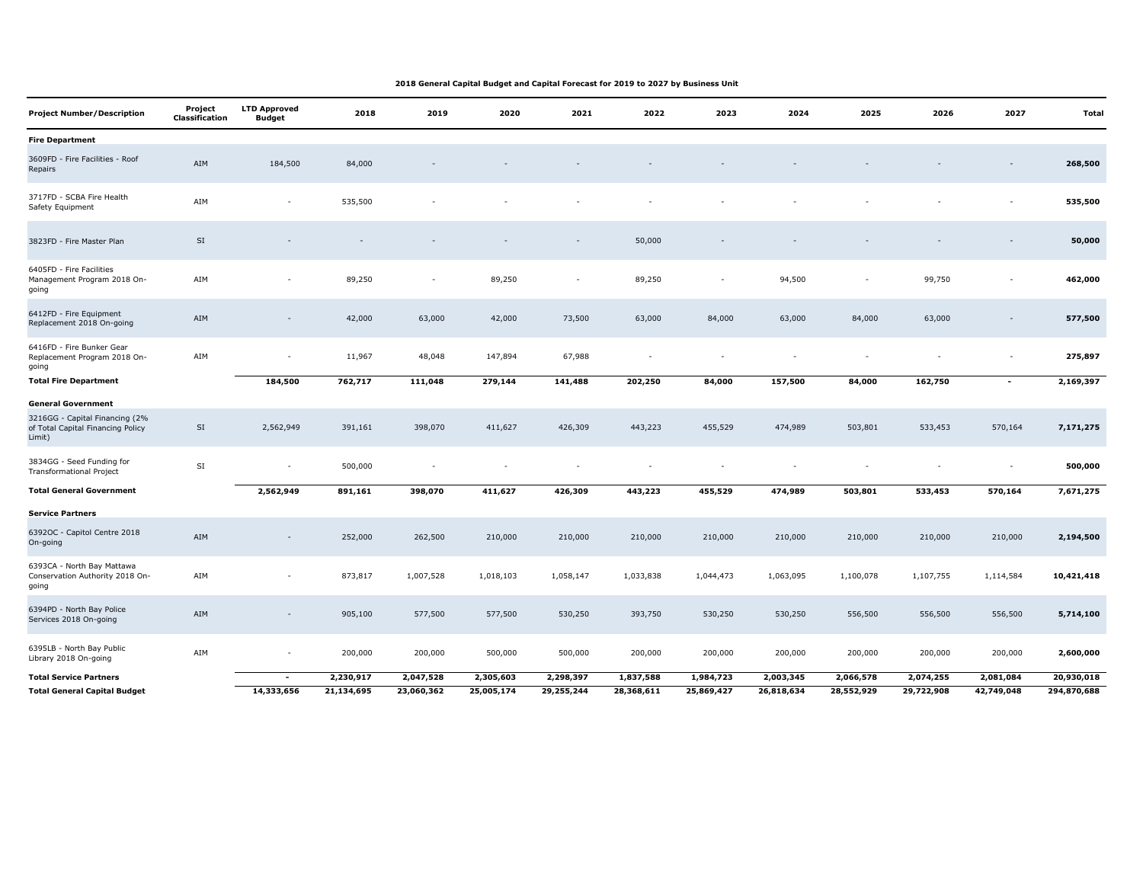| <b>Project Number/Description</b>                                             | Project<br>Classification | <b>LTD Approved</b><br><b>Budget</b> | 2018       | 2019       | 2020       | 2021       | 2022       | 2023       | 2024       | 2025       | 2026       | 2027                     | Total       |
|-------------------------------------------------------------------------------|---------------------------|--------------------------------------|------------|------------|------------|------------|------------|------------|------------|------------|------------|--------------------------|-------------|
| <b>Fire Department</b>                                                        |                           |                                      |            |            |            |            |            |            |            |            |            |                          |             |
| 3609FD - Fire Facilities - Roof<br>Repairs                                    | AIM                       | 184,500                              | 84,000     |            |            |            |            |            |            |            |            |                          | 268,500     |
| 3717FD - SCBA Fire Health<br>Safety Equipment                                 | AIM                       | $\overline{\phantom{a}}$             | 535,500    |            |            |            |            |            |            |            |            | $\sim$                   | 535,500     |
| 3823FD - Fire Master Plan                                                     | SI                        |                                      |            |            |            |            | 50,000     |            |            |            |            |                          | 50,000      |
| 6405FD - Fire Facilities<br>Management Program 2018 On-<br>going              | AIM                       |                                      | 89,250     | ٠          | 89,250     | ٠          | 89,250     |            | 94,500     |            | 99,750     | $\overline{\phantom{a}}$ | 462,000     |
| 6412FD - Fire Equipment<br>Replacement 2018 On-going                          | AIM                       | $\overline{\phantom{a}}$             | 42,000     | 63,000     | 42,000     | 73,500     | 63,000     | 84,000     | 63,000     | 84,000     | 63,000     | $\overline{\phantom{a}}$ | 577,500     |
| 6416FD - Fire Bunker Gear<br>Replacement Program 2018 On-<br>going            | AIM                       |                                      | 11,967     | 48,048     | 147,894    | 67,988     |            |            |            |            |            |                          | 275,897     |
| <b>Total Fire Department</b>                                                  |                           | 184,500                              | 762,717    | 111,048    | 279,144    | 141,488    | 202,250    | 84,000     | 157,500    | 84,000     | 162,750    | $\sim$                   | 2,169,397   |
| <b>General Government</b>                                                     |                           |                                      |            |            |            |            |            |            |            |            |            |                          |             |
| 3216GG - Capital Financing (2%<br>of Total Capital Financing Policy<br>Limit) | $\mathsf{SI}\xspace$      | 2,562,949                            | 391,161    | 398,070    | 411,627    | 426,309    | 443,223    | 455,529    | 474,989    | 503,801    | 533,453    | 570,164                  | 7,171,275   |
| 3834GG - Seed Funding for<br><b>Transformational Project</b>                  | $\mathsf{SI}$             | $\overline{\phantom{a}}$             | 500,000    |            |            |            |            |            |            |            | $\sim$     | $\sim$                   | 500,000     |
| <b>Total General Government</b>                                               |                           | 2,562,949                            | 891,161    | 398,070    | 411,627    | 426,309    | 443,223    | 455,529    | 474,989    | 503,801    | 533,453    | 570,164                  | 7,671,275   |
| <b>Service Partners</b>                                                       |                           |                                      |            |            |            |            |            |            |            |            |            |                          |             |
| 6392OC - Capitol Centre 2018<br>On-going                                      | AIM                       | $\sim$                               | 252,000    | 262,500    | 210,000    | 210,000    | 210,000    | 210,000    | 210,000    | 210,000    | 210,000    | 210,000                  | 2,194,500   |
| 6393CA - North Bay Mattawa<br>Conservation Authority 2018 On-<br>going        | AIM                       | $\overline{\phantom{a}}$             | 873,817    | 1,007,528  | 1,018,103  | 1,058,147  | 1,033,838  | 1,044,473  | 1,063,095  | 1,100,078  | 1,107,755  | 1,114,584                | 10,421,418  |
| 6394PD - North Bay Police<br>Services 2018 On-going                           | AIM                       |                                      | 905,100    | 577,500    | 577,500    | 530,250    | 393,750    | 530,250    | 530,250    | 556,500    | 556,500    | 556,500                  | 5,714,100   |
| 6395LB - North Bay Public<br>Library 2018 On-going                            | AIM                       | $\sim$                               | 200,000    | 200,000    | 500,000    | 500,000    | 200,000    | 200,000    | 200,000    | 200,000    | 200,000    | 200,000                  | 2,600,000   |
| <b>Total Service Partners</b>                                                 |                           | $\overline{\phantom{a}}$             | 2,230,917  | 2,047,528  | 2,305,603  | 2,298,397  | 1,837,588  | 1,984,723  | 2,003,345  | 2,066,578  | 2,074,255  | 2,081,084                | 20,930,018  |
| <b>Total General Capital Budget</b>                                           |                           | 14,333,656                           | 21,134,695 | 23,060,362 | 25,005,174 | 29,255,244 | 28,368,611 | 25,869,427 | 26,818,634 | 28,552,929 | 29,722,908 | 42,749,048               | 294,870,688 |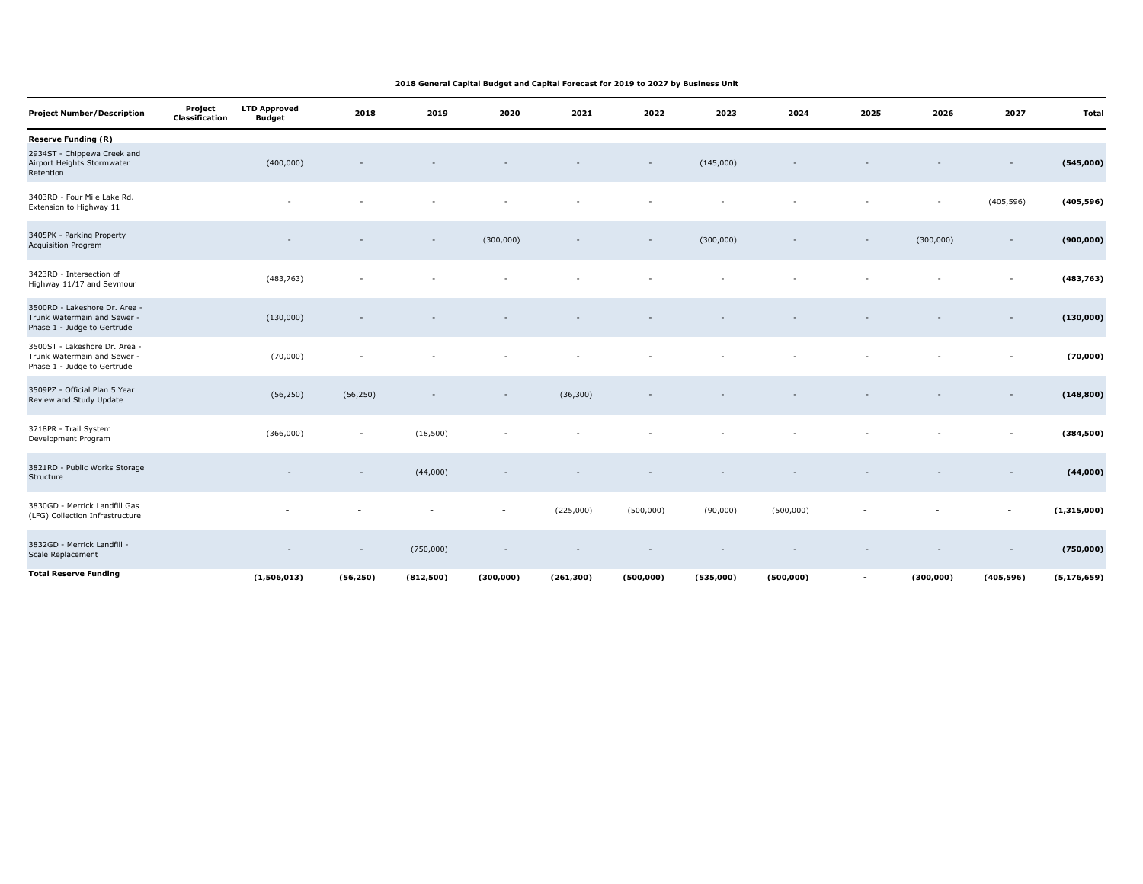| <b>Project Number/Description</b>                                                           | Project<br><b>Classification</b> | <b>LTD Approved</b><br><b>Budget</b> | 2018                     | 2019                     | 2020       | 2021       | 2022       | 2023      | 2024       | 2025                     | 2026                     | 2027                     | <b>Total</b>  |
|---------------------------------------------------------------------------------------------|----------------------------------|--------------------------------------|--------------------------|--------------------------|------------|------------|------------|-----------|------------|--------------------------|--------------------------|--------------------------|---------------|
| <b>Reserve Funding (R)</b>                                                                  |                                  |                                      |                          |                          |            |            |            |           |            |                          |                          |                          |               |
| 2934ST - Chippewa Creek and<br>Airport Heights Stormwater<br>Retention                      |                                  | (400,000)                            |                          |                          |            |            |            | (145,000) |            |                          |                          |                          | (545,000)     |
| 3403RD - Four Mile Lake Rd.<br>Extension to Highway 11                                      |                                  |                                      |                          |                          |            |            |            |           |            |                          | $\overline{\phantom{a}}$ | (405, 596)               | (405, 596)    |
| 3405PK - Parking Property<br>Acquisition Program                                            |                                  |                                      |                          |                          | (300,000)  |            |            | (300,000) |            | $\overline{\phantom{a}}$ | (300,000)                | $\overline{\phantom{a}}$ | (900, 000)    |
| 3423RD - Intersection of<br>Highway 11/17 and Seymour                                       |                                  | (483, 763)                           |                          |                          |            |            |            |           |            |                          |                          | $\overline{\phantom{a}}$ | (483, 763)    |
| 3500RD - Lakeshore Dr. Area -<br>Trunk Watermain and Sewer -<br>Phase 1 - Judge to Gertrude |                                  | (130,000)                            |                          |                          |            |            |            |           |            |                          |                          | $\overline{\phantom{a}}$ | (130,000)     |
| 3500ST - Lakeshore Dr. Area -<br>Trunk Watermain and Sewer -<br>Phase 1 - Judge to Gertrude |                                  | (70,000)                             |                          |                          |            |            |            |           |            |                          |                          | $\overline{\phantom{a}}$ | (70,000)      |
| 3509PZ - Official Plan 5 Year<br>Review and Study Update                                    |                                  | (56, 250)                            | (56, 250)                | $\overline{\phantom{a}}$ |            | (36, 300)  |            |           |            |                          |                          | $\overline{\phantom{a}}$ | (148, 800)    |
| 3718PR - Trail System<br>Development Program                                                |                                  | (366,000)                            | $\overline{\phantom{a}}$ | (18, 500)                |            |            |            |           |            |                          |                          |                          | (384, 500)    |
| 3821RD - Public Works Storage<br>Structure                                                  |                                  |                                      |                          | (44,000)                 |            |            |            |           |            |                          |                          |                          | (44,000)      |
| 3830GD - Merrick Landfill Gas<br>(LFG) Collection Infrastructure                            |                                  |                                      |                          |                          |            | (225,000)  | (500,000)  | (90,000)  | (500,000)  |                          |                          | $\overline{\phantom{a}}$ | (1,315,000)   |
| 3832GD - Merrick Landfill -<br>Scale Replacement                                            |                                  |                                      |                          | (750,000)                |            |            |            |           |            |                          |                          |                          | (750,000)     |
| <b>Total Reserve Funding</b>                                                                |                                  | (1,506,013)                          | (56, 250)                | (812,500)                | (300, 000) | (261, 300) | (500, 000) | (535,000) | (500, 000) | $\overline{\phantom{a}}$ | (300,000)                | (405, 596)               | (5, 176, 659) |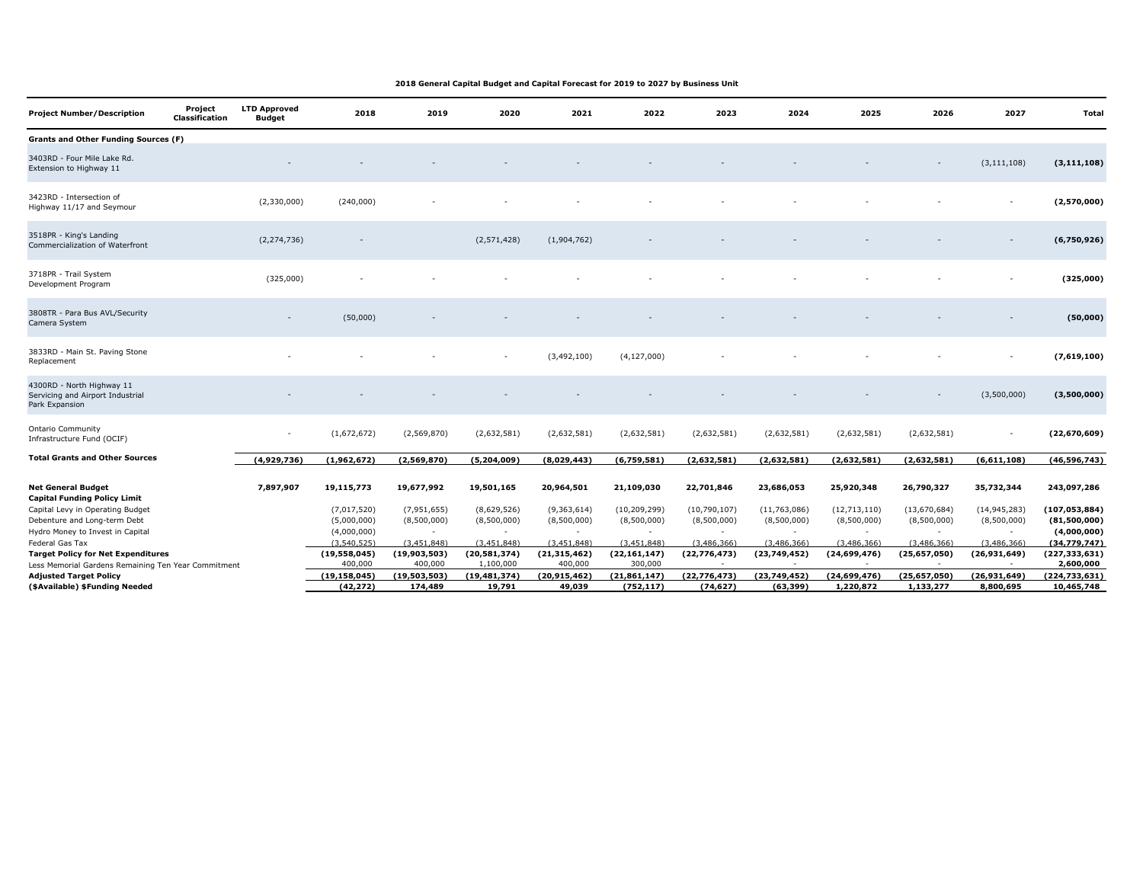| Project | <b>LTD Approved</b><br><b>Budget</b>                                 | 2018                                                | 2019                                  | 2020                                               | 2021                                  | 2022                                                  | 2023                                                      | 2024                                       | 2025                      | 2026                        | 2027                        | Total                         |
|---------|----------------------------------------------------------------------|-----------------------------------------------------|---------------------------------------|----------------------------------------------------|---------------------------------------|-------------------------------------------------------|-----------------------------------------------------------|--------------------------------------------|---------------------------|-----------------------------|-----------------------------|-------------------------------|
|         |                                                                      |                                                     |                                       |                                                    |                                       |                                                       |                                                           |                                            |                           |                             |                             |                               |
|         |                                                                      |                                                     |                                       |                                                    |                                       |                                                       |                                                           |                                            |                           |                             | (3, 111, 108)               | (3, 111, 108)                 |
|         | (2,330,000)                                                          | (240,000)                                           |                                       |                                                    |                                       |                                                       |                                                           |                                            |                           |                             |                             | (2,570,000)                   |
|         | (2, 274, 736)                                                        |                                                     |                                       | (2, 571, 428)                                      | (1,904,762)                           |                                                       |                                                           |                                            |                           |                             | $\overline{\phantom{a}}$    | (6,750,926)                   |
|         | (325,000)                                                            |                                                     |                                       |                                                    |                                       |                                                       |                                                           |                                            |                           |                             |                             | (325,000)                     |
|         |                                                                      | (50,000)                                            |                                       |                                                    |                                       |                                                       |                                                           |                                            |                           |                             |                             | (50,000)                      |
|         |                                                                      |                                                     |                                       |                                                    | (3, 492, 100)                         | (4, 127, 000)                                         |                                                           |                                            |                           |                             |                             | (7,619,100)                   |
|         |                                                                      |                                                     |                                       |                                                    |                                       |                                                       |                                                           |                                            |                           |                             | (3,500,000)                 | (3,500,000)                   |
|         |                                                                      | (1,672,672)                                         | (2,569,870)                           | (2,632,581)                                        | (2,632,581)                           | (2,632,581)                                           | (2,632,581)                                               | (2,632,581)                                | (2,632,581)               | (2,632,581)                 | $\overline{\phantom{a}}$    | (22, 670, 609)                |
|         | (4,929,736)                                                          | (1,962,672)                                         | (2,569,870)                           | (5, 204, 009)                                      | (8,029,443)                           | (6,759,581)                                           | (2,632,581)                                               | (2,632,581)                                | (2,632,581)               | (2,632,581)                 | (6,611,108)                 | (46, 596, 743)                |
|         | 7,897,907                                                            | 19,115,773                                          | 19,677,992                            | 19,501,165                                         | 20,964,501                            | 21,109,030                                            | 22,701,846                                                | 23,686,053                                 | 25,920,348                | 26,790,327                  | 35,732,344                  | 243,097,286                   |
|         |                                                                      | (7,017,520)                                         | (7,951,655)                           | (8,629,526)                                        | (9,363,614)                           | (10, 209, 299)                                        | (10, 790, 107)                                            | (11,763,086)                               | (12, 713, 110)            | (13,670,684)                | (14, 945, 283)              | (107, 053, 884)               |
|         |                                                                      | (5,000,000)                                         | (8,500,000)                           | (8,500,000)                                        | (8,500,000)                           | (8,500,000)                                           | (8,500,000)                                               | (8,500,000)                                | (8,500,000)               | (8,500,000)                 | (8,500,000)                 | (81,500,000)                  |
|         |                                                                      | (4,000,000)                                         | $\sim$                                | $\sim$                                             | $\overline{\phantom{a}}$              | $\sim$                                                | $\sim$                                                    | $\sim$                                     | $\sim$                    | $\sim$                      | $\sim$                      | (4,000,000)                   |
|         |                                                                      | (3.540.525)                                         | (3.451.848)                           | (3.451.848)                                        | (3.451.848)                           | (3.451.848)                                           |                                                           | (3.486.366)                                | (3,486,366)               | (3.486.366)                 | (3,486,366)                 | (34,779,747)                  |
|         |                                                                      | (19, 558, 045)                                      |                                       | (20, 581, 374)                                     |                                       |                                                       | (22, 776, 473)                                            | (23, 749, 452)                             | (24, 699, 476)            | (25, 657, 050)              | (26,931,649)                | (227, 333, 631)               |
|         |                                                                      |                                                     |                                       |                                                    |                                       |                                                       |                                                           |                                            |                           |                             |                             | 2,600,000                     |
|         |                                                                      |                                                     |                                       |                                                    |                                       |                                                       |                                                           |                                            |                           |                             |                             | (224, 733, 631)<br>10,465,748 |
|         | <b>Classification</b><br><b>Grants and Other Funding Sources (F)</b> | Less Memorial Gardens Remaining Ten Year Commitment | 400,000<br>(19, 158, 045)<br>(42,272) | (19,903,503)<br>400,000<br>(19,503,503)<br>174,489 | 1,100,000<br>(19, 481, 374)<br>19,791 | (21, 315, 462)<br>400,000<br>(20, 915, 462)<br>49,039 | (22, 161, 147)<br>300,000<br>(21, 861, 147)<br>(752, 117) | (3,486,366)<br>(22, 776, 473)<br>(74, 627) | (23,749,452)<br>(63, 399) | (24, 699, 476)<br>1,220,872 | (25, 657, 050)<br>1,133,277 | (26,931,649)<br>8,800,695     |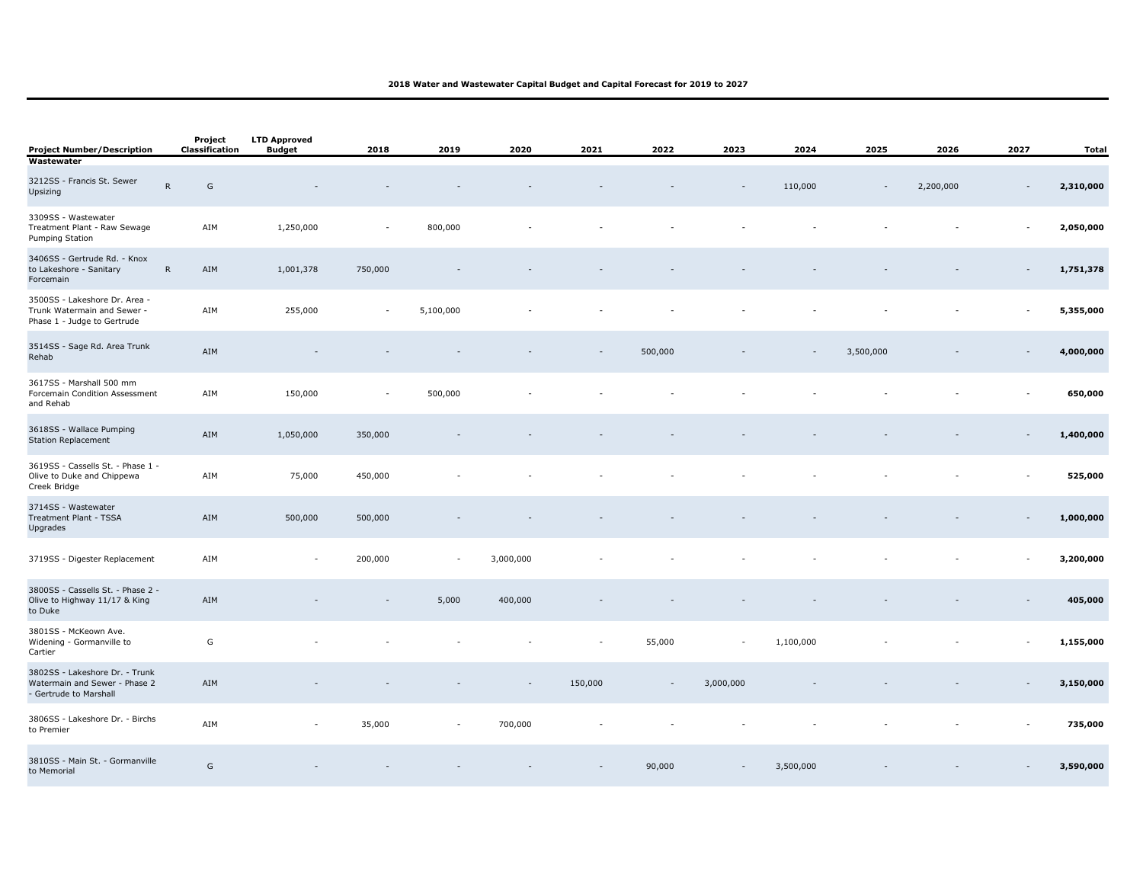| <b>Project Number/Description</b>                                                           |           | Project<br>Classification | <b>LTD Approved</b><br><b>Budget</b> | 2018                     | 2019           | 2020      | 2021    | 2022                     | 2023                     | 2024      | 2025                     | 2026      | 2027                     | Total     |
|---------------------------------------------------------------------------------------------|-----------|---------------------------|--------------------------------------|--------------------------|----------------|-----------|---------|--------------------------|--------------------------|-----------|--------------------------|-----------|--------------------------|-----------|
| Wastewater<br>3212SS - Francis St. Sewer<br>Upsizing                                        | ${\sf R}$ | ${\mathsf G}$             |                                      |                          |                |           |         |                          |                          | 110,000   | $\overline{\phantom{a}}$ | 2,200,000 | $\sim$                   | 2,310,000 |
| 3309SS - Wastewater<br>Treatment Plant - Raw Sewage<br>Pumping Station                      |           | AIM                       | 1,250,000                            | $\overline{\phantom{a}}$ | 800,000        |           |         |                          |                          |           |                          |           | $\sim$                   | 2,050,000 |
| 3406SS - Gertrude Rd. - Knox<br>to Lakeshore - Sanitary<br>Forcemain                        | ${\sf R}$ | AIM                       | 1,001,378                            | 750,000                  |                |           |         |                          |                          |           |                          |           |                          | 1,751,378 |
| 3500SS - Lakeshore Dr. Area -<br>Trunk Watermain and Sewer -<br>Phase 1 - Judge to Gertrude |           | AIM                       | 255,000                              | $\sim$                   | 5,100,000      |           |         |                          |                          |           |                          |           | $\overline{\phantom{a}}$ | 5,355,000 |
| 3514SS - Sage Rd. Area Trunk<br>Rehab                                                       |           | AIM                       |                                      |                          |                |           |         | 500,000                  |                          |           | 3,500,000                |           |                          | 4,000,000 |
| 3617SS - Marshall 500 mm<br>Forcemain Condition Assessment<br>and Rehab                     |           | AIM                       | 150,000                              | $\sim$                   | 500,000        |           |         |                          |                          |           |                          |           |                          | 650,000   |
| 3618SS - Wallace Pumping<br><b>Station Replacement</b>                                      |           | AIM                       | 1,050,000                            | 350,000                  |                |           |         |                          |                          |           |                          |           |                          | 1,400,000 |
| 3619SS - Cassells St. - Phase 1 -<br>Olive to Duke and Chippewa<br>Creek Bridge             |           | AIM                       | 75,000                               | 450,000                  |                |           |         |                          |                          |           |                          |           |                          | 525,000   |
| 3714SS - Wastewater<br>Treatment Plant - TSSA<br>Upgrades                                   |           | AIM                       | 500,000                              | 500,000                  |                |           |         |                          |                          |           |                          |           |                          | 1,000,000 |
| 3719SS - Digester Replacement                                                               |           | AIM                       | $\overline{\phantom{a}}$             | 200,000                  | $\overline{a}$ | 3,000,000 |         |                          |                          |           |                          |           |                          | 3,200,000 |
| 3800SS - Cassells St. - Phase 2 -<br>Olive to Highway 11/17 & King<br>to Duke               |           | AIM                       |                                      |                          | 5,000          | 400,000   |         |                          |                          |           |                          |           |                          | 405,000   |
| 3801SS - McKeown Ave.<br>Widening - Gormanville to<br>Cartier                               |           | G                         |                                      |                          |                |           |         | 55,000                   | $\overline{\phantom{a}}$ | 1,100,000 |                          |           | $\overline{\phantom{a}}$ | 1,155,000 |
| 3802SS - Lakeshore Dr. - Trunk<br>Watermain and Sewer - Phase 2<br>- Gertrude to Marshall   |           | AIM                       |                                      |                          |                | $\sim$    | 150,000 | $\overline{\phantom{a}}$ | 3,000,000                |           |                          |           |                          | 3,150,000 |
| 3806SS - Lakeshore Dr. - Birchs<br>to Premier                                               |           | AIM                       | $\overline{\phantom{a}}$             | 35,000                   | $\overline{a}$ | 700,000   |         |                          |                          |           |                          |           |                          | 735,000   |
| 3810SS - Main St. - Gormanville<br>to Memorial                                              |           | G                         |                                      |                          |                |           |         | 90,000                   |                          | 3,500,000 |                          |           |                          | 3,590,000 |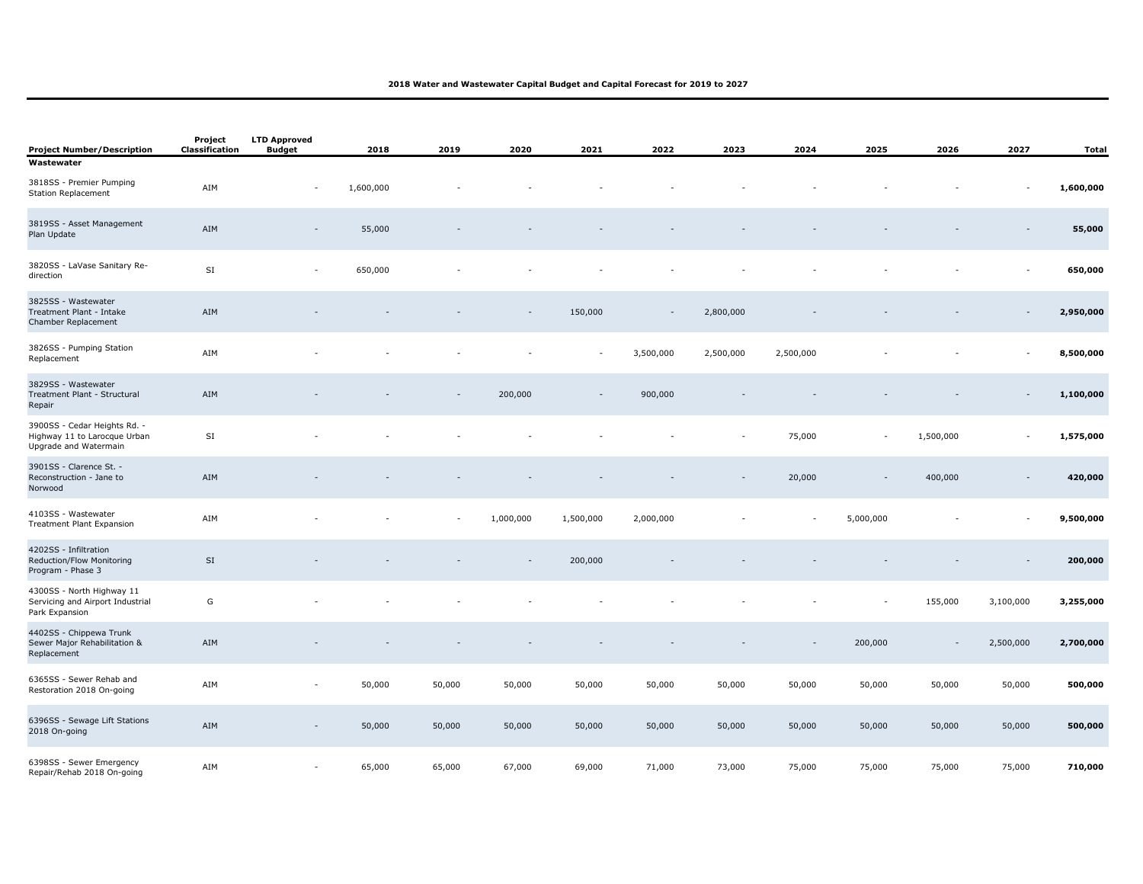| <b>Project Number/Description</b>                                                     | Project<br>Classification | <b>LTD Approved</b><br><b>Budget</b> | 2018      | 2019   | 2020      | 2021      | 2022                     | 2023      | 2024      | 2025                     | 2026                     | 2027      | <b>Total</b> |
|---------------------------------------------------------------------------------------|---------------------------|--------------------------------------|-----------|--------|-----------|-----------|--------------------------|-----------|-----------|--------------------------|--------------------------|-----------|--------------|
| Wastewater                                                                            |                           |                                      |           |        |           |           |                          |           |           |                          |                          |           |              |
| 3818SS - Premier Pumping<br><b>Station Replacement</b>                                | AIM                       | $\qquad \qquad \blacksquare$         | 1,600,000 |        |           |           |                          |           |           |                          |                          |           | 1,600,000    |
| 3819SS - Asset Management<br>Plan Update                                              | AIM                       | $\overline{\phantom{a}}$             | 55,000    |        |           |           |                          |           |           |                          |                          |           | 55,000       |
| 3820SS - LaVase Sanitary Re-<br>direction                                             | $\mathsf{SI}$             | $\overline{\phantom{a}}$             | 650,000   |        |           |           |                          |           |           |                          |                          |           | 650,000      |
| 3825SS - Wastewater<br>Treatment Plant - Intake<br>Chamber Replacement                | AIM                       |                                      |           |        |           | 150,000   | $\overline{\phantom{a}}$ | 2,800,000 |           |                          |                          |           | 2,950,000    |
| 3826SS - Pumping Station<br>Replacement                                               | AIM                       |                                      |           |        |           |           | 3,500,000                | 2,500,000 | 2,500,000 |                          |                          |           | 8,500,000    |
| 3829SS - Wastewater<br>Treatment Plant - Structural<br>Repair                         | AIM                       |                                      |           |        | 200,000   |           | 900,000                  |           |           |                          |                          |           | 1,100,000    |
| 3900SS - Cedar Heights Rd. -<br>Highway 11 to Larocque Urban<br>Upgrade and Watermain | SI                        |                                      |           |        |           |           |                          |           | 75,000    | $\overline{\phantom{a}}$ | 1,500,000                |           | 1,575,000    |
| 3901SS - Clarence St. -<br>Reconstruction - Jane to<br>Norwood                        | AIM                       |                                      |           |        |           |           |                          |           | 20,000    |                          | 400,000                  |           | 420,000      |
| 4103SS - Wastewater<br><b>Treatment Plant Expansion</b>                               | AIM                       |                                      |           |        | 1,000,000 | 1,500,000 | 2,000,000                |           |           | 5,000,000                |                          |           | 9,500,000    |
| 4202SS - Infiltration<br>Reduction/Flow Monitoring<br>Program - Phase 3               | SI                        |                                      |           |        | $\sim$    | 200,000   |                          |           |           |                          |                          |           | 200,000      |
| 4300SS - North Highway 11<br>Servicing and Airport Industrial<br>Park Expansion       | G                         |                                      |           |        |           |           |                          |           |           |                          | 155,000                  | 3,100,000 | 3,255,000    |
| 4402SS - Chippewa Trunk<br>Sewer Major Rehabilitation &<br>Replacement                | AIM                       |                                      |           |        |           |           |                          |           |           | 200,000                  | $\overline{\phantom{a}}$ | 2,500,000 | 2,700,000    |
| 6365SS - Sewer Rehab and<br>Restoration 2018 On-going                                 | AIM                       | ÷,                                   | 50,000    | 50,000 | 50,000    | 50,000    | 50,000                   | 50,000    | 50,000    | 50,000                   | 50,000                   | 50,000    | 500,000      |
| 6396SS - Sewage Lift Stations<br>2018 On-going                                        | ${\sf AIM}$               | $\overline{\phantom{a}}$             | 50,000    | 50,000 | 50,000    | 50,000    | 50,000                   | 50,000    | 50,000    | 50,000                   | 50,000                   | 50,000    | 500,000      |
| 6398SS - Sewer Emergency<br>Repair/Rehab 2018 On-going                                | AIM                       | $\overline{a}$                       | 65,000    | 65,000 | 67,000    | 69,000    | 71,000                   | 73,000    | 75,000    | 75,000                   | 75,000                   | 75,000    | 710,000      |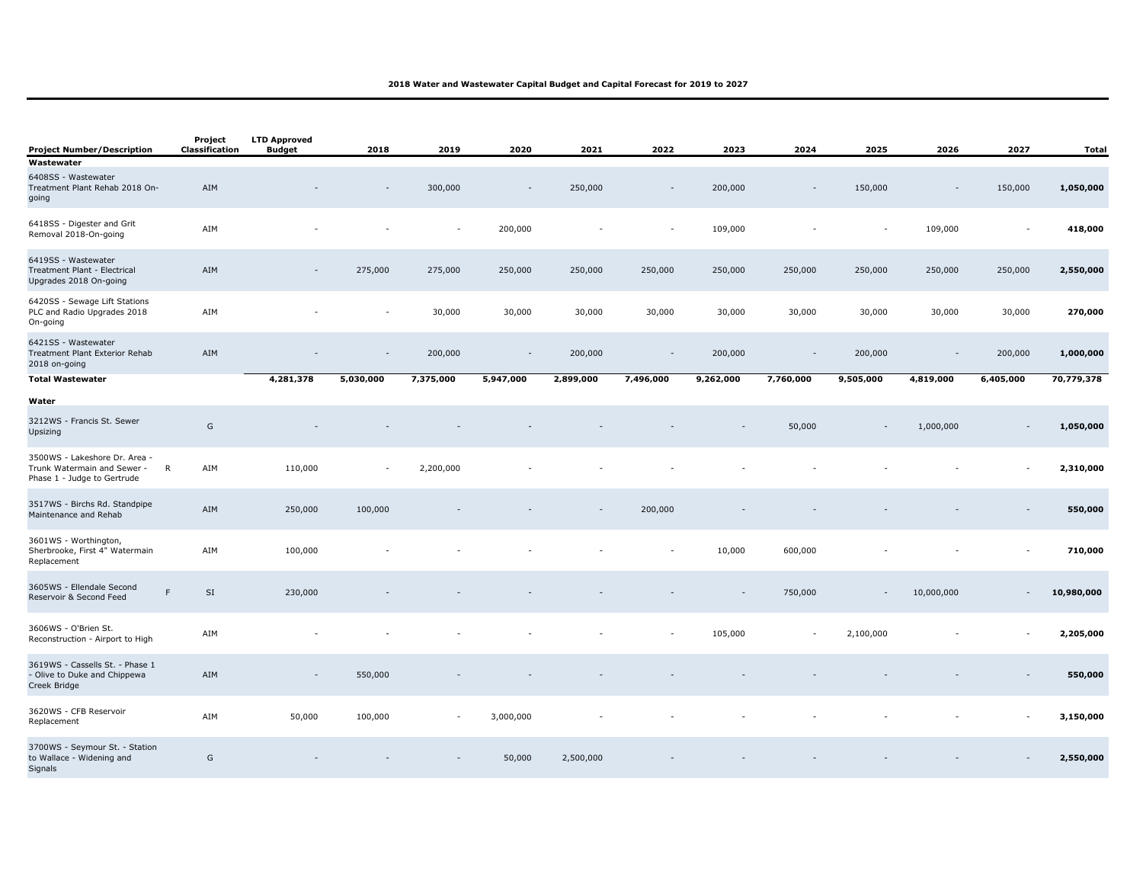| <b>Project Number/Description</b>                                                           | Project<br>Classification | <b>LTD Approved</b><br><b>Budget</b> | 2018      | 2019      | 2020                     | 2021      | 2022           | 2023      | 2024                     | 2025      | 2026                     | 2027                     | <b>Total</b> |
|---------------------------------------------------------------------------------------------|---------------------------|--------------------------------------|-----------|-----------|--------------------------|-----------|----------------|-----------|--------------------------|-----------|--------------------------|--------------------------|--------------|
| Wastewater                                                                                  |                           |                                      |           |           |                          |           |                |           |                          |           |                          |                          |              |
| 6408SS - Wastewater<br>Treatment Plant Rehab 2018 On-<br>going                              | AIM                       |                                      |           | 300,000   | $\overline{\phantom{a}}$ | 250,000   | $\sim$         | 200,000   | $\overline{\phantom{a}}$ | 150,000   | $\overline{\phantom{a}}$ | 150,000                  | 1,050,000    |
| 6418SS - Digester and Grit<br>Removal 2018-On-going                                         | AIM                       |                                      |           |           | 200,000                  |           | $\overline{a}$ | 109,000   |                          |           | 109,000                  |                          | 418,000      |
| 6419SS - Wastewater<br>Treatment Plant - Electrical<br>Upgrades 2018 On-going               | AIM                       |                                      | 275,000   | 275,000   | 250,000                  | 250,000   | 250,000        | 250,000   | 250,000                  | 250,000   | 250,000                  | 250,000                  | 2,550,000    |
| 6420SS - Sewage Lift Stations<br>PLC and Radio Upgrades 2018<br>On-going                    | AIM                       |                                      |           | 30,000    | 30,000                   | 30,000    | 30,000         | 30,000    | 30,000                   | 30,000    | 30,000                   | 30,000                   | 270,000      |
| 6421SS - Wastewater<br>Treatment Plant Exterior Rehab<br>2018 on-going                      | AIM                       |                                      |           | 200,000   | $\overline{\phantom{a}}$ | 200,000   |                | 200,000   |                          | 200,000   |                          | 200,000                  | 1,000,000    |
| <b>Total Wastewater</b>                                                                     |                           | 4,281,378                            | 5,030,000 | 7,375,000 | 5,947,000                | 2,899,000 | 7,496,000      | 9,262,000 | 7,760,000                | 9,505,000 | 4,819,000                | 6,405,000                | 70,779,378   |
|                                                                                             |                           |                                      |           |           |                          |           |                |           |                          |           |                          |                          |              |
| Water<br>3212WS - Francis St. Sewer<br>Upsizing                                             | ${\mathsf G}$             |                                      |           |           |                          |           |                |           | 50,000                   |           | 1,000,000                |                          | 1,050,000    |
| 3500WS - Lakeshore Dr. Area -<br>Trunk Watermain and Sewer -<br>Phase 1 - Judge to Gertrude | $\mathsf{R}$<br>AIM       | 110,000                              |           | 2,200,000 |                          |           |                |           |                          |           |                          |                          | 2,310,000    |
| 3517WS - Birchs Rd. Standpipe<br>Maintenance and Rehab                                      | AIM                       | 250,000                              | 100,000   |           |                          |           | 200,000        |           |                          |           |                          |                          | 550,000      |
| 3601WS - Worthington,<br>Sherbrooke, First 4" Watermain<br>Replacement                      | AIM                       | 100,000                              |           |           |                          |           |                | 10,000    | 600,000                  |           |                          |                          | 710,000      |
| 3605WS - Ellendale Second<br>Reservoir & Second Feed                                        | F<br>SI                   | 230,000                              |           |           |                          |           |                |           | 750,000                  |           | 10,000,000               | $\overline{\phantom{a}}$ | 10,980,000   |
| 3606WS - O'Brien St.<br>Reconstruction - Airport to High                                    | AIM                       |                                      |           |           |                          |           |                | 105,000   | $\sim$                   | 2,100,000 |                          |                          | 2,205,000    |
| 3619WS - Cassells St. - Phase 1<br>- Olive to Duke and Chippewa<br>Creek Bridge             | AIM                       |                                      | 550,000   |           |                          |           |                |           |                          |           |                          |                          | 550,000      |
| 3620WS - CFB Reservoir<br>Replacement                                                       | AIM                       | 50,000                               | 100,000   |           | 3,000,000                |           |                |           |                          |           |                          |                          | 3,150,000    |
| 3700WS - Seymour St. - Station<br>to Wallace - Widening and<br>Signals                      | G                         |                                      |           |           | 50,000                   | 2,500,000 |                |           |                          |           |                          |                          | 2,550,000    |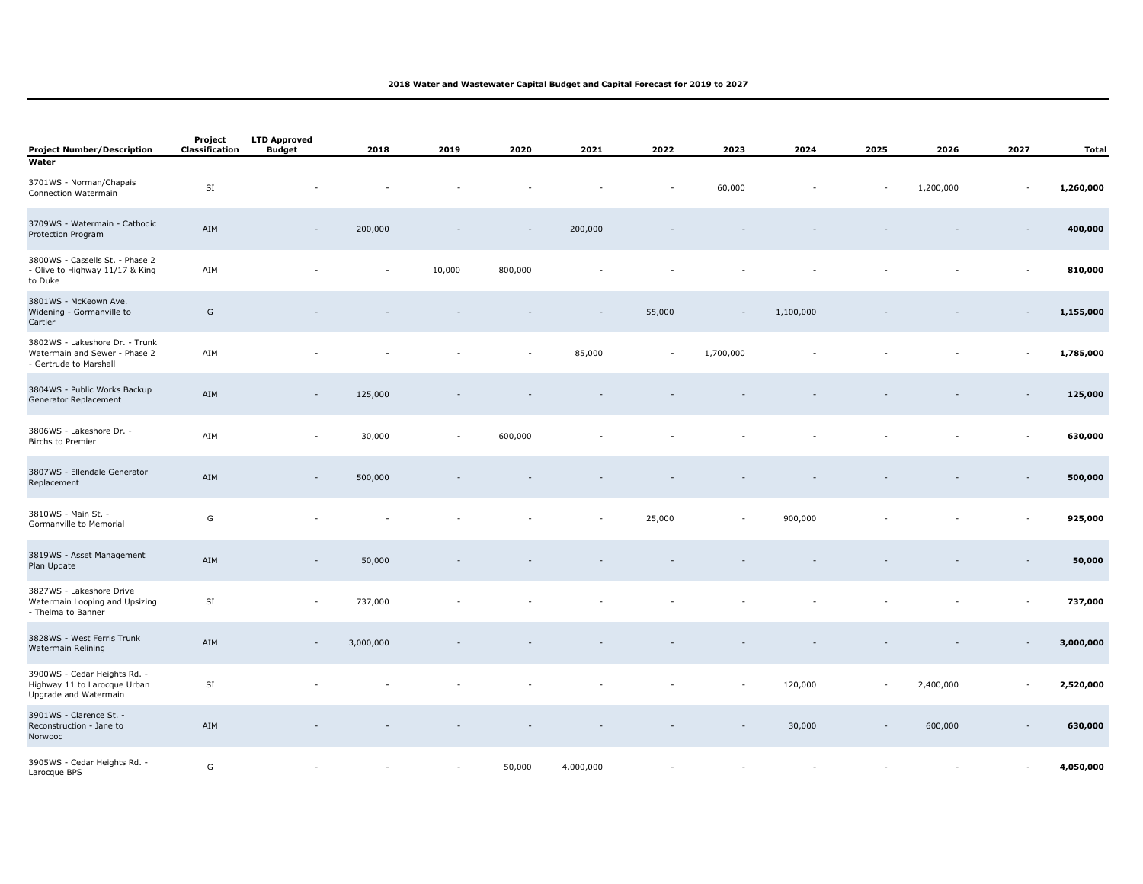| <b>Project Number/Description</b><br>Water                                                | Project<br>Classification | <b>LTD Approved</b><br><b>Budget</b> | 2018      | 2019   | 2020    | 2021      | 2022   | 2023                     | 2024                     | 2025                     | 2026           | 2027                     | Total     |
|-------------------------------------------------------------------------------------------|---------------------------|--------------------------------------|-----------|--------|---------|-----------|--------|--------------------------|--------------------------|--------------------------|----------------|--------------------------|-----------|
| 3701WS - Norman/Chapais<br>Connection Watermain                                           | SI                        |                                      |           |        |         |           |        | 60,000                   |                          |                          | 1,200,000      |                          | 1,260,000 |
| 3709WS - Watermain - Cathodic<br>Protection Program                                       | AIM                       |                                      | 200,000   |        |         | 200,000   |        |                          |                          |                          |                |                          | 400,000   |
| 3800WS - Cassells St. - Phase 2<br>- Olive to Highway 11/17 & King<br>to Duke             | AIM                       |                                      |           | 10,000 | 800,000 |           |        |                          |                          |                          |                |                          | 810,000   |
| 3801WS - McKeown Ave.<br>Widening - Gormanville to<br>Cartier                             | G                         |                                      |           |        |         |           | 55,000 | $\overline{\phantom{a}}$ | 1,100,000                |                          |                |                          | 1,155,000 |
| 3802WS - Lakeshore Dr. - Trunk<br>Watermain and Sewer - Phase 2<br>- Gertrude to Marshall | AIM                       |                                      |           |        | $\sim$  | 85,000    | $\sim$ | 1,700,000                |                          |                          |                | $\sim$                   | 1,785,000 |
| 3804WS - Public Works Backup<br>Generator Replacement                                     | AIM                       | $\overline{\phantom{a}}$             | 125,000   |        |         |           |        |                          |                          |                          |                |                          | 125,000   |
| 3806WS - Lakeshore Dr. -<br><b>Birchs to Premier</b>                                      | AIM                       | $\sim$                               | 30,000    |        | 600,000 |           |        |                          |                          |                          |                |                          | 630,000   |
| 3807WS - Ellendale Generator<br>Replacement                                               | AIM                       | $\overline{\phantom{a}}$             | 500,000   |        |         |           |        |                          |                          |                          |                |                          | 500,000   |
| 3810WS - Main St. -<br>Gormanville to Memorial                                            | G                         |                                      |           |        |         |           | 25,000 | $\overline{\phantom{a}}$ | 900,000                  |                          |                |                          | 925,000   |
| 3819WS - Asset Management<br>Plan Update                                                  | AIM                       | $\overline{\phantom{a}}$             | 50,000    |        |         |           |        |                          |                          |                          |                |                          | 50,000    |
| 3827WS - Lakeshore Drive<br>Watermain Looping and Upsizing<br>- Thelma to Banner          | SI                        | $\overline{\phantom{a}}$             | 737,000   |        |         |           |        |                          |                          |                          |                |                          | 737,000   |
| 3828WS - West Ferris Trunk<br>Watermain Relining                                          | AIM                       | $\overline{\phantom{a}}$             | 3,000,000 |        |         |           |        |                          |                          |                          |                | $\overline{\phantom{a}}$ | 3,000,000 |
| 3900WS - Cedar Heights Rd. -<br>Highway 11 to Larocque Urban<br>Upgrade and Watermain     | $\mathsf{SI}\xspace$      |                                      |           |        |         |           |        |                          | 120,000                  | $\overline{\phantom{a}}$ | 2,400,000      |                          | 2,520,000 |
| 3901WS - Clarence St. -<br>Reconstruction - Jane to<br>Norwood                            | AIM                       |                                      |           |        |         |           |        |                          | 30,000                   |                          | 600,000        |                          | 630,000   |
| 3905WS - Cedar Heights Rd. -<br>Larocque BPS                                              | G                         | $\overline{\phantom{a}}$             |           | $\sim$ | 50,000  | 4,000,000 |        | $\overline{\phantom{a}}$ | $\overline{\phantom{a}}$ |                          | $\overline{a}$ | $\sim$                   | 4,050,000 |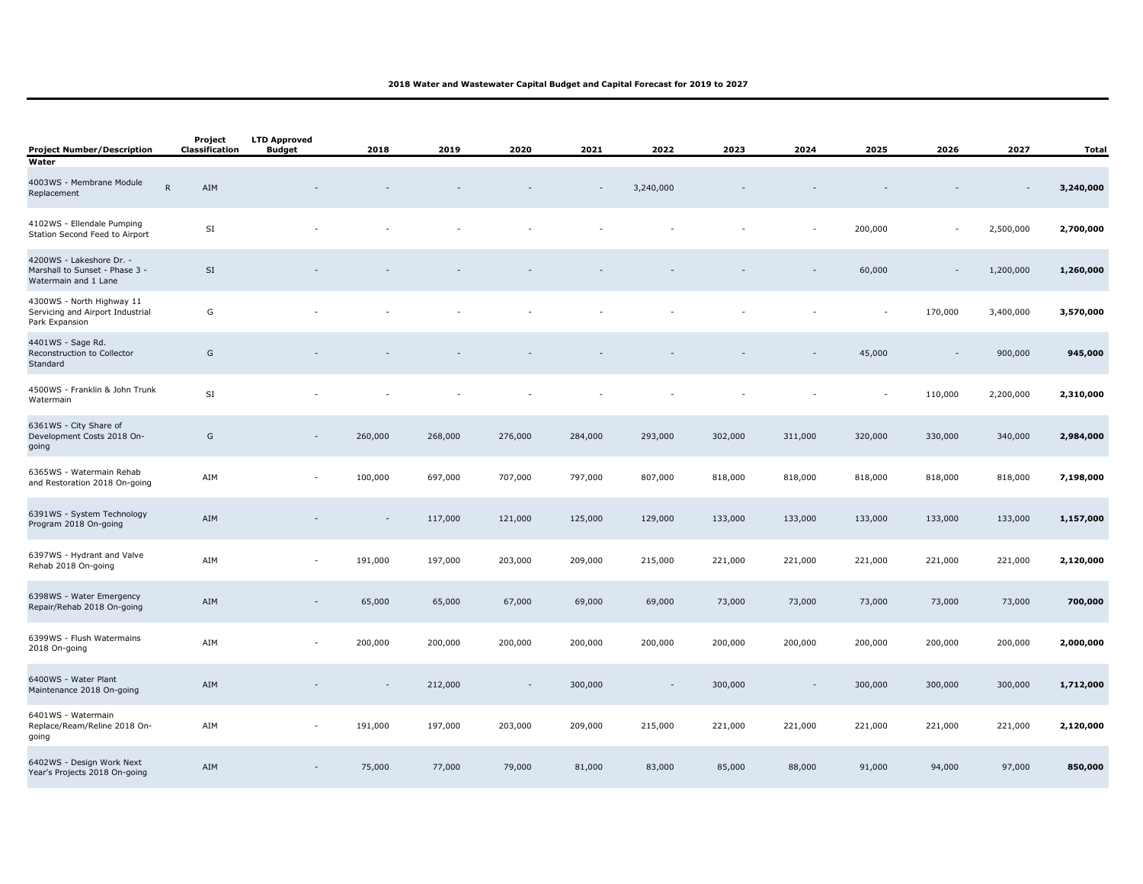| <b>Project Number/Description</b>                                                  | Project<br>Classification | <b>LTD Approved</b><br><b>Budget</b> | 2018           | 2019    | 2020    | 2021    | 2022      | 2023    | 2024                     | 2025    | 2026    | 2027      | Total     |
|------------------------------------------------------------------------------------|---------------------------|--------------------------------------|----------------|---------|---------|---------|-----------|---------|--------------------------|---------|---------|-----------|-----------|
| Water                                                                              |                           |                                      |                |         |         |         |           |         |                          |         |         |           |           |
| 4003WS - Membrane Module<br>Replacement                                            | $\mathsf{R}$<br>AIM       |                                      |                |         |         |         | 3,240,000 |         |                          |         |         |           | 3,240,000 |
| 4102WS - Ellendale Pumping<br>Station Second Feed to Airport                       | SI                        |                                      |                |         |         |         |           |         |                          | 200,000 | $\sim$  | 2,500,000 | 2,700,000 |
| 4200WS - Lakeshore Dr. -<br>Marshall to Sunset - Phase 3 -<br>Watermain and 1 Lane | $\mathsf{SI}$             |                                      |                |         |         |         |           |         |                          | 60,000  |         | 1,200,000 | 1,260,000 |
| 4300WS - North Highway 11<br>Servicing and Airport Industrial<br>Park Expansion    | G                         |                                      |                |         |         |         |           |         |                          |         | 170,000 | 3,400,000 | 3,570,000 |
| 4401WS - Sage Rd.<br>Reconstruction to Collector<br>Standard                       | G                         |                                      |                |         |         |         |           |         |                          | 45,000  |         | 900,000   | 945,000   |
| 4500WS - Franklin & John Trunk<br>Watermain                                        | $\mathsf{SI}$             |                                      |                |         |         |         |           |         |                          |         | 110,000 | 2,200,000 | 2,310,000 |
| 6361WS - City Share of<br>Development Costs 2018 On-<br>going                      | G                         |                                      | 260,000        | 268,000 | 276,000 | 284,000 | 293,000   | 302,000 | 311,000                  | 320,000 | 330,000 | 340,000   | 2,984,000 |
| 6365WS - Watermain Rehab<br>and Restoration 2018 On-going                          | AIM                       | $\overline{a}$                       | 100,000        | 697,000 | 707,000 | 797,000 | 807,000   | 818,000 | 818,000                  | 818,000 | 818,000 | 818,000   | 7,198,000 |
| 6391WS - System Technology<br>Program 2018 On-going                                | AIM                       |                                      | $\overline{a}$ | 117,000 | 121,000 | 125,000 | 129,000   | 133,000 | 133,000                  | 133,000 | 133,000 | 133,000   | 1,157,000 |
| 6397WS - Hydrant and Valve<br>Rehab 2018 On-going                                  | AIM                       | $\sim$                               | 191,000        | 197,000 | 203,000 | 209,000 | 215,000   | 221,000 | 221,000                  | 221,000 | 221,000 | 221,000   | 2,120,000 |
| 6398WS - Water Emergency<br>Repair/Rehab 2018 On-going                             | AIM                       |                                      | 65,000         | 65,000  | 67,000  | 69,000  | 69,000    | 73,000  | 73,000                   | 73,000  | 73,000  | 73,000    | 700,000   |
| 6399WS - Flush Watermains<br>2018 On-going                                         | AIM                       | $\overline{\phantom{a}}$             | 200,000        | 200,000 | 200,000 | 200,000 | 200,000   | 200,000 | 200,000                  | 200,000 | 200,000 | 200,000   | 2,000,000 |
| 6400WS - Water Plant<br>Maintenance 2018 On-going                                  | AIM                       |                                      |                | 212,000 | $\sim$  | 300,000 |           | 300,000 | $\overline{\phantom{a}}$ | 300,000 | 300,000 | 300,000   | 1,712,000 |
| 6401WS - Watermain<br>Replace/Ream/Reline 2018 On-<br>going                        | AIM                       | $\overline{\phantom{a}}$             | 191,000        | 197,000 | 203,000 | 209,000 | 215,000   | 221,000 | 221,000                  | 221,000 | 221,000 | 221,000   | 2,120,000 |
| 6402WS - Design Work Next<br>Year's Projects 2018 On-going                         | AIM                       |                                      | 75,000         | 77,000  | 79,000  | 81,000  | 83,000    | 85,000  | 88,000                   | 91,000  | 94,000  | 97,000    | 850,000   |